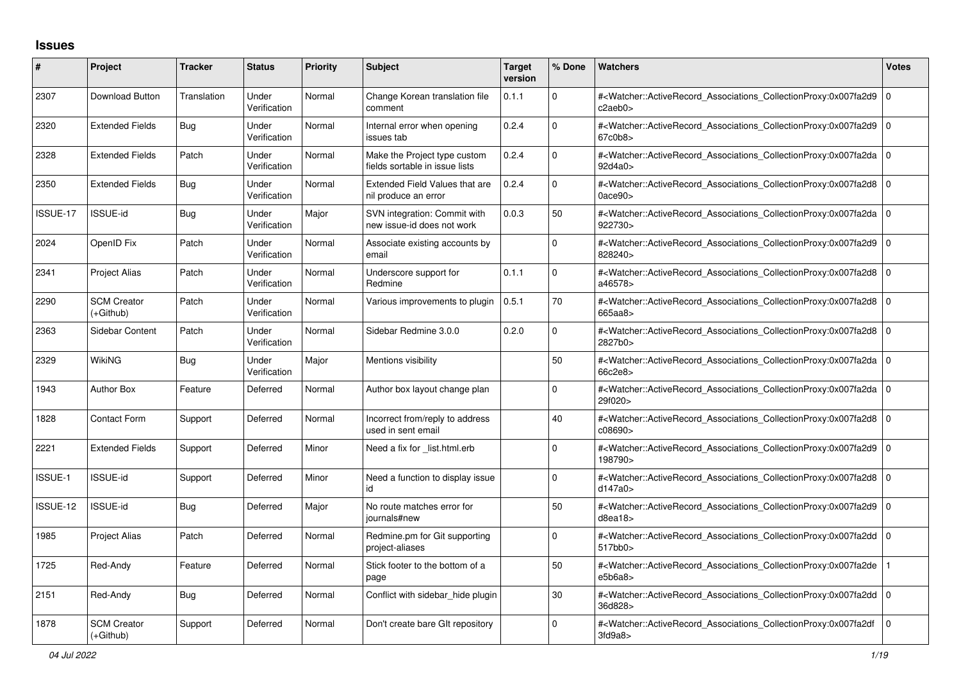## **Issues**

| #        | Project                         | <b>Tracker</b> | <b>Status</b>         | <b>Priority</b> | <b>Subject</b>                                                 | <b>Target</b><br>version | % Done   | Watchers                                                                                                                                                                  | <b>Votes</b>   |
|----------|---------------------------------|----------------|-----------------------|-----------------|----------------------------------------------------------------|--------------------------|----------|---------------------------------------------------------------------------------------------------------------------------------------------------------------------------|----------------|
| 2307     | Download Button                 | Translation    | Under<br>Verification | Normal          | Change Korean translation file<br>comment                      | 0.1.1                    | $\Omega$ | # <watcher::activerecord associations="" collectionproxy:0x007fa2d9<br="">c2aeb0&gt;</watcher::activerecord>                                                              | 0              |
| 2320     | <b>Extended Fields</b>          | <b>Bug</b>     | Under<br>Verification | Normal          | Internal error when opening<br>issues tab                      | 0.2.4                    | $\Omega$ | # <watcher::activerecord_associations_collectionproxy:0x007fa2d9<br>67c0b8&gt;</watcher::activerecord_associations_collectionproxy:0x007fa2d9<br>                         | l O            |
| 2328     | <b>Extended Fields</b>          | Patch          | Under<br>Verification | Normal          | Make the Project type custom<br>fields sortable in issue lists | 0.2.4                    | $\Omega$ | # <watcher::activerecord associations="" collectionproxy:0x007fa2da<br="">92d4a0&gt;</watcher::activerecord>                                                              | 0              |
| 2350     | <b>Extended Fields</b>          | Bug            | Under<br>Verification | Normal          | <b>Extended Field Values that are</b><br>nil produce an error  | 0.2.4                    | $\Omega$ | # <watcher::activerecord_associations_collectionproxy:0x007fa2d8 0<br="">0ace90&gt;</watcher::activerecord_associations_collectionproxy:0x007fa2d8>                       |                |
| ISSUE-17 | <b>ISSUE-id</b>                 | <b>Bug</b>     | Under<br>Verification | Major           | SVN integration: Commit with<br>new issue-id does not work     | 0.0.3                    | 50       | # <watcher::activerecord_associations_collectionproxy:0x007fa2da<br>922730&gt;</watcher::activerecord_associations_collectionproxy:0x007fa2da<br>                         | l o            |
| 2024     | OpenID Fix                      | Patch          | Under<br>Verification | Normal          | Associate existing accounts by<br>email                        |                          | $\Omega$ | # <watcher::activerecord associations="" collectionproxy:0x007fa2d9<br="">828240&gt;</watcher::activerecord>                                                              | l O            |
| 2341     | <b>Project Alias</b>            | Patch          | Under<br>Verification | Normal          | Underscore support for<br>Redmine                              | 0.1.1                    | $\Omega$ | # <watcher::activerecord_associations_collectionproxy:0x007fa2d8<br>a46578&gt;</watcher::activerecord_associations_collectionproxy:0x007fa2d8<br>                         | $\overline{0}$ |
| 2290     | <b>SCM Creator</b><br>(+Github) | Patch          | Under<br>Verification | Normal          | Various improvements to plugin                                 | 0.5.1                    | 70       | # <watcher::activerecord 0<br="" associations="" collectionproxy:0x007fa2d8=""  ="">665aa8&gt;</watcher::activerecord>                                                    |                |
| 2363     | Sidebar Content                 | Patch          | Under<br>Verification | Normal          | Sidebar Redmine 3.0.0                                          | 0.2.0                    | $\Omega$ | # <watcher::activerecord_associations_collectionproxy:0x007fa2d8<br>2827b0&gt;</watcher::activerecord_associations_collectionproxy:0x007fa2d8<br>                         | $\overline{0}$ |
| 2329     | WikiNG                          | Bug            | Under<br>Verification | Major           | Mentions visibility                                            |                          | 50       | # <watcher::activerecord 0<br="" associations="" collectionproxy:0x007fa2da=""  ="">66c2e8&gt;</watcher::activerecord>                                                    |                |
| 1943     | <b>Author Box</b>               | Feature        | Deferred              | Normal          | Author box layout change plan                                  |                          | $\Omega$ | # <watcher::activerecord_associations_collectionproxy:0x007fa2da<br>29f020&gt;</watcher::activerecord_associations_collectionproxy:0x007fa2da<br>                         | $\overline{0}$ |
| 1828     | <b>Contact Form</b>             | Support        | Deferred              | Normal          | Incorrect from/reply to address<br>used in sent email          |                          | 40       | # <watcher::activerecord 0<br="" associations="" collectionproxy:0x007fa2d8=""  ="">c08690&gt;</watcher::activerecord>                                                    |                |
| 2221     | <b>Extended Fields</b>          | Support        | Deferred              | Minor           | Need a fix for _list.html.erb                                  |                          | $\Omega$ | # <watcher::activerecord_associations_collectionproxy:0x007fa2d9<br>198790&gt;</watcher::activerecord_associations_collectionproxy:0x007fa2d9<br>                         | 0              |
| ISSUE-1  | <b>ISSUE-id</b>                 | Support        | Deferred              | Minor           | Need a function to display issue<br>id                         |                          | $\Omega$ | # <watcher::activerecord_associations_collectionproxy:0x007fa2d8 0<br=""  ="">d147a0&gt;</watcher::activerecord_associations_collectionproxy:0x007fa2d8>                  |                |
| ISSUE-12 | ISSUE-id                        | Bug            | Deferred              | Major           | No route matches error for<br>iournals#new                     |                          | 50       | # <watcher::activerecord associations="" collectionproxy:0x007fa2d9<br="">d8ea18&gt;</watcher::activerecord>                                                              | ۱o             |
| 1985     | Project Alias                   | Patch          | Deferred              | Normal          | Redmine.pm for Git supporting<br>project-aliases               |                          | $\Omega$ | # <watcher::activerecord_associations_collectionproxy:0x007fa2dd 0<br=""><math>517</math>bb<math>0</math></watcher::activerecord_associations_collectionproxy:0x007fa2dd> |                |
| 1725     | Red-Andy                        | Feature        | Deferred              | Normal          | Stick footer to the bottom of a<br>page                        |                          | 50       | # <watcher::activerecord associations="" collectionproxy:0x007fa2de<br="">e5b6a8</watcher::activerecord>                                                                  |                |
| 2151     | Red-Andy                        | <b>Bug</b>     | Deferred              | Normal          | Conflict with sidebar_hide plugin                              |                          | 30       | # <watcher::activerecord_associations_collectionproxy:0x007fa2dd 0<br="">36d828&gt;</watcher::activerecord_associations_collectionproxy:0x007fa2dd>                       |                |
| 1878     | <b>SCM Creator</b><br>(+Github) | Support        | Deferred              | Normal          | Don't create bare GIt repository                               |                          | $\Omega$ | # <watcher::activerecord associations="" collectionproxy:0x007fa2df<br="">3f<sub>d</sub>9a<sub>8</sub></watcher::activerecord>                                            | $\mathbf 0$    |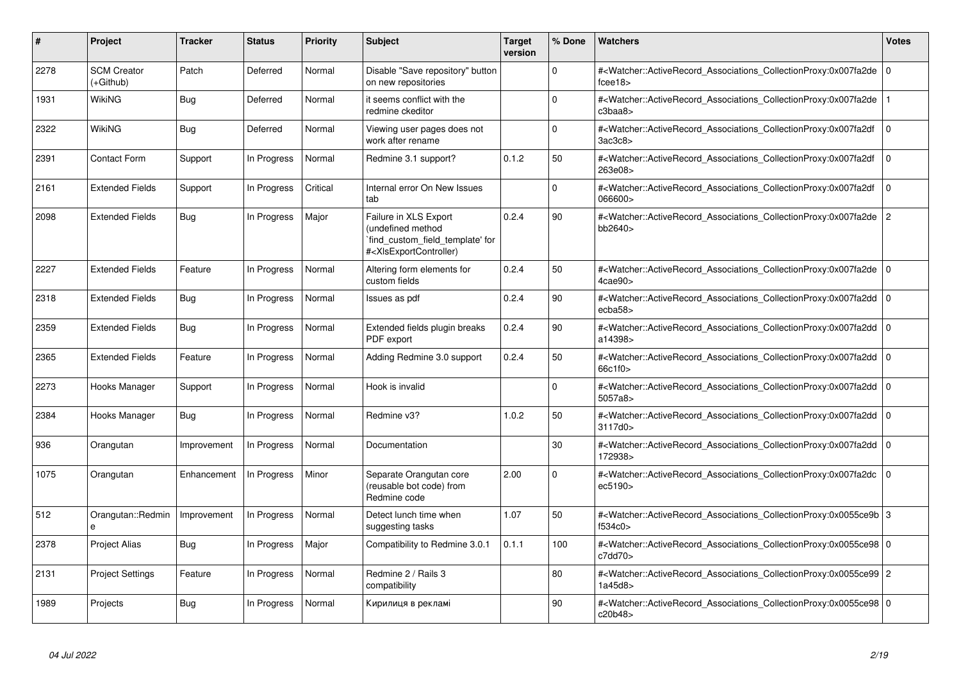| #    | Project                         | <b>Tracker</b> | <b>Status</b> | <b>Priority</b> | <b>Subject</b>                                                                                                                                                                                                                                                                                                                        | <b>Target</b><br>version | % Done   | <b>Watchers</b>                                                                                                                                          | <b>Votes</b> |
|------|---------------------------------|----------------|---------------|-----------------|---------------------------------------------------------------------------------------------------------------------------------------------------------------------------------------------------------------------------------------------------------------------------------------------------------------------------------------|--------------------------|----------|----------------------------------------------------------------------------------------------------------------------------------------------------------|--------------|
| 2278 | <b>SCM Creator</b><br>(+Github) | Patch          | Deferred      | Normal          | Disable "Save repository" button<br>on new repositories                                                                                                                                                                                                                                                                               |                          | $\Omega$ | # <watcher::activerecord_associations_collectionproxy:0x007fa2de<br>fcee18</watcher::activerecord_associations_collectionproxy:0x007fa2de<br>            | 0            |
| 1931 | <b>WikiNG</b>                   | Bug            | Deferred      | Normal          | it seems conflict with the<br>redmine ckeditor                                                                                                                                                                                                                                                                                        |                          | $\Omega$ | # <watcher::activerecord associations="" collectionproxy:0x007fa2de<br="">c3baa8&gt;</watcher::activerecord>                                             |              |
| 2322 | WikiNG                          | Bug            | Deferred      | Normal          | Viewing user pages does not<br>work after rename                                                                                                                                                                                                                                                                                      |                          | $\Omega$ | # <watcher::activerecord associations="" collectionproxy:0x007fa2df<br="">3ac3c8&gt;</watcher::activerecord>                                             | 0            |
| 2391 | <b>Contact Form</b>             | Support        | In Progress   | Normal          | Redmine 3.1 support?                                                                                                                                                                                                                                                                                                                  | 0.1.2                    | 50       | # <watcher::activerecord associations="" collectionproxy:0x007fa2df<br="">263e08&gt;</watcher::activerecord>                                             | $\Omega$     |
| 2161 | <b>Extended Fields</b>          | Support        | In Progress   | Critical        | Internal error On New Issues<br>tab                                                                                                                                                                                                                                                                                                   |                          | $\Omega$ | # <watcher::activerecord associations="" collectionproxy:0x007fa2df<br="">066600&gt;</watcher::activerecord>                                             | $\mathbf 0$  |
| 2098 | <b>Extended Fields</b>          | <b>Bug</b>     | In Progress   | Major           | Failure in XLS Export<br>(undefined method<br>`find_custom_field_template' for<br># <xlsexportcontroller)< td=""><td>0.2.4</td><td>90</td><td>#<watcher::activerecord_associations_collectionproxy:0x007fa2de<br>bb2640&gt;</watcher::activerecord_associations_collectionproxy:0x007fa2de<br></td><td>2</td></xlsexportcontroller)<> | 0.2.4                    | 90       | # <watcher::activerecord_associations_collectionproxy:0x007fa2de<br>bb2640&gt;</watcher::activerecord_associations_collectionproxy:0x007fa2de<br>        | 2            |
| 2227 | <b>Extended Fields</b>          | Feature        | In Progress   | Normal          | Altering form elements for<br>custom fields                                                                                                                                                                                                                                                                                           | 0.2.4                    | 50       | # <watcher::activerecord_associations_collectionproxy:0x007fa2de 0<br=""  ="">4cae90&gt;</watcher::activerecord_associations_collectionproxy:0x007fa2de> |              |
| 2318 | <b>Extended Fields</b>          | <b>Bug</b>     | In Progress   | Normal          | Issues as pdf                                                                                                                                                                                                                                                                                                                         | 0.2.4                    | 90       | # <watcher::activerecord_associations_collectionproxy:0x007fa2dd<br>ecba58&gt;</watcher::activerecord_associations_collectionproxy:0x007fa2dd<br>        | 10           |
| 2359 | <b>Extended Fields</b>          | <b>Bug</b>     | In Progress   | Normal          | Extended fields plugin breaks<br>PDF export                                                                                                                                                                                                                                                                                           | 0.2.4                    | 90       | # <watcher::activerecord_associations_collectionproxy:0x007fa2dd 0<br=""  ="">a14398&gt;</watcher::activerecord_associations_collectionproxy:0x007fa2dd> |              |
| 2365 | <b>Extended Fields</b>          | Feature        | In Progress   | Normal          | Adding Redmine 3.0 support                                                                                                                                                                                                                                                                                                            | 0.2.4                    | 50       | # <watcher::activerecord_associations_collectionproxy:0x007fa2dd 0<br=""  ="">66c1f0&gt;</watcher::activerecord_associations_collectionproxy:0x007fa2dd> |              |
| 2273 | Hooks Manager                   | Support        | In Progress   | Normal          | Hook is invalid                                                                                                                                                                                                                                                                                                                       |                          | $\Omega$ | # <watcher::activerecord_associations_collectionproxy:0x007fa2dd<br>5057a8&gt;</watcher::activerecord_associations_collectionproxy:0x007fa2dd<br>        | 10           |
| 2384 | Hooks Manager                   | <b>Bug</b>     | In Progress   | Normal          | Redmine v3?                                                                                                                                                                                                                                                                                                                           | 1.0.2                    | 50       | # <watcher::activerecord_associations_collectionproxy:0x007fa2dd 0<br=""  ="">3117d0&gt;</watcher::activerecord_associations_collectionproxy:0x007fa2dd> |              |
| 936  | Orangutan                       | Improvement    | In Progress   | Normal          | Documentation                                                                                                                                                                                                                                                                                                                         |                          | 30       | # <watcher::activerecord_associations_collectionproxy:0x007fa2dd<br>172938&gt;</watcher::activerecord_associations_collectionproxy:0x007fa2dd<br>        | l o          |
| 1075 | Orangutan                       | Enhancement    | In Progress   | Minor           | Separate Orangutan core<br>(reusable bot code) from<br>Redmine code                                                                                                                                                                                                                                                                   | 2.00                     | $\Omega$ | # <watcher::activerecord_associations_collectionproxy:0x007fa2dc<br>ec5190&gt;</watcher::activerecord_associations_collectionproxy:0x007fa2dc<br>        | l o          |
| 512  | Orangutan::Redmin<br>$\theta$   | Improvement    | In Progress   | Normal          | Detect lunch time when<br>suggesting tasks                                                                                                                                                                                                                                                                                            | 1.07                     | 50       | # <watcher::activerecord_associations_collectionproxy:0x0055ce9b 3<br=""  ="">f534c0&gt;</watcher::activerecord_associations_collectionproxy:0x0055ce9b> |              |
| 2378 | <b>Project Alias</b>            | <b>Bug</b>     | In Progress   | Major           | Compatibility to Redmine 3.0.1                                                                                                                                                                                                                                                                                                        | 0.1.1                    | 100      | # <watcher::activerecord_associations_collectionproxy:0x0055ce98 0<br=""  ="">c7dd70&gt;</watcher::activerecord_associations_collectionproxy:0x0055ce98> |              |
| 2131 | <b>Project Settings</b>         | Feature        | In Progress   | Normal          | Redmine 2 / Rails 3<br>compatibility                                                                                                                                                                                                                                                                                                  |                          | 80       | # <watcher::activerecord_associations_collectionproxy:0x0055ce99 2<br="">1a45d8</watcher::activerecord_associations_collectionproxy:0x0055ce99>          |              |
| 1989 | Projects                        | Bug            | In Progress   | Normal          | Кирилиця в рекламі                                                                                                                                                                                                                                                                                                                    |                          | 90       | # <watcher::activerecord_associations_collectionproxy:0x0055ce98 0<br=""  ="">c20b48&gt;</watcher::activerecord_associations_collectionproxy:0x0055ce98> |              |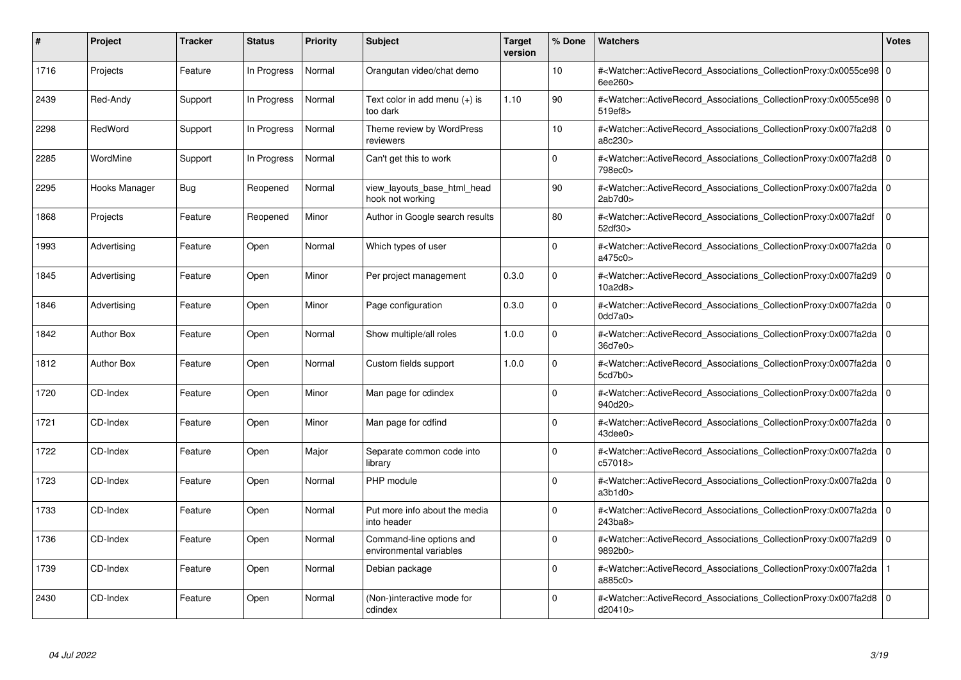| #    | Project           | <b>Tracker</b> | <b>Status</b> | <b>Priority</b> | <b>Subject</b>                                      | Target<br>version | % Done      | <b>Watchers</b>                                                                                                                                                                | <b>Votes</b>   |
|------|-------------------|----------------|---------------|-----------------|-----------------------------------------------------|-------------------|-------------|--------------------------------------------------------------------------------------------------------------------------------------------------------------------------------|----------------|
| 1716 | Projects          | Feature        | In Progress   | Normal          | Orangutan video/chat demo                           |                   | 10          | # <watcher::activerecord_associations_collectionproxy:0x0055ce98 0<br=""  ="">6ee260&gt;</watcher::activerecord_associations_collectionproxy:0x0055ce98>                       |                |
| 2439 | Red-Andy          | Support        | In Progress   | Normal          | Text color in add menu $(+)$ is<br>too dark         | 1.10              | 90          | # <watcher::activerecord 0<br="" associations="" collectionproxy:0x0055ce98=""  ="">519ef8&gt;</watcher::activerecord>                                                         |                |
| 2298 | RedWord           | Support        | In Progress   | Normal          | Theme review by WordPress<br>reviewers              |                   | 10          | # <watcher::activerecord_associations_collectionproxy:0x007fa2d8 0<br="">a8c230&gt;</watcher::activerecord_associations_collectionproxy:0x007fa2d8>                            |                |
| 2285 | WordMine          | Support        | In Progress   | Normal          | Can't get this to work                              |                   | $\Omega$    | # <watcher::activerecord_associations_collectionproxy:0x007fa2d8 0<br=""  ="">798ec0&gt;</watcher::activerecord_associations_collectionproxy:0x007fa2d8>                       |                |
| 2295 | Hooks Manager     | Bug            | Reopened      | Normal          | view layouts base html head<br>hook not working     |                   | 90          | # <watcher::activerecord associations="" collectionproxy:0x007fa2da<br="">2ab7d0</watcher::activerecord>                                                                       | $\overline{0}$ |
| 1868 | Projects          | Feature        | Reopened      | Minor           | Author in Google search results                     |                   | 80          | # <watcher::activerecord_associations_collectionproxy:0x007fa2df<br>52df30&gt;</watcher::activerecord_associations_collectionproxy:0x007fa2df<br>                              | ١o             |
| 1993 | Advertising       | Feature        | Open          | Normal          | Which types of user                                 |                   | $\Omega$    | # <watcher::activerecord_associations_collectionproxy:0x007fa2da 0<br="">a475c0&gt;</watcher::activerecord_associations_collectionproxy:0x007fa2da>                            |                |
| 1845 | Advertising       | Feature        | Open          | Minor           | Per project management                              | 0.3.0             | $\Omega$    | # <watcher::activerecord 0<br="" associations="" collectionproxy:0x007fa2d9=""  ="">10a2d8&gt;</watcher::activerecord>                                                         |                |
| 1846 | Advertising       | Feature        | Open          | Minor           | Page configuration                                  | 0.3.0             | $\mathbf 0$ | # <watcher::activerecord_associations_collectionproxy:0x007fa2da 0<br=""  ="">0dd7a0&gt;</watcher::activerecord_associations_collectionproxy:0x007fa2da>                       |                |
| 1842 | <b>Author Box</b> | Feature        | Open          | Normal          | Show multiple/all roles                             | 1.0.0             | $\Omega$    | # <watcher::activerecord_associations_collectionproxy:0x007fa2da 0<br=""  ="">36d7e0&gt;</watcher::activerecord_associations_collectionproxy:0x007fa2da>                       |                |
| 1812 | <b>Author Box</b> | Feature        | Open          | Normal          | Custom fields support                               | 1.0.0             | $\Omega$    | # <watcher::activerecord 0<br="" associations="" collectionproxy:0x007fa2da=""  ="">5cd7b0&gt;</watcher::activerecord>                                                         |                |
| 1720 | CD-Index          | Feature        | Open          | Minor           | Man page for cdindex                                |                   | $\Omega$    | # <watcher::activerecord_associations_collectionproxy:0x007fa2da 0<br=""  ="">940d20&gt;</watcher::activerecord_associations_collectionproxy:0x007fa2da>                       |                |
| 1721 | CD-Index          | Feature        | Open          | Minor           | Man page for cdfind                                 |                   | $\Omega$    | # <watcher::activerecord_associations_collectionproxy:0x007fa2da 0<br=""  ="">43dee0&gt;</watcher::activerecord_associations_collectionproxy:0x007fa2da>                       |                |
| 1722 | CD-Index          | Feature        | Open          | Major           | Separate common code into<br>library                |                   | $\Omega$    | # <watcher::activerecord 0<br="" associations="" collectionproxy:0x007fa2da=""  ="">c57018&gt;</watcher::activerecord>                                                         |                |
| 1723 | CD-Index          | Feature        | Open          | Normal          | PHP module                                          |                   | 0           | # <watcher::activerecord_associations_collectionproxy:0x007fa2da 0<br=""  ="">a3b1d0</watcher::activerecord_associations_collectionproxy:0x007fa2da>                           |                |
| 1733 | CD-Index          | Feature        | Open          | Normal          | Put more info about the media<br>into header        |                   | $\Omega$    | # <watcher::activerecord_associations_collectionproxy:0x007fa2da 0<br=""  =""><math>243</math>ba<math>8</math></watcher::activerecord_associations_collectionproxy:0x007fa2da> |                |
| 1736 | CD-Index          | Feature        | Open          | Normal          | Command-line options and<br>environmental variables |                   | $\Omega$    | # <watcher::activerecord 0<br="" associations="" collectionproxy:0x007fa2d9=""  ="">9892b0&gt;</watcher::activerecord>                                                         |                |
| 1739 | CD-Index          | Feature        | Open          | Normal          | Debian package                                      |                   | $\Omega$    | # <watcher::activerecord associations="" collectionproxy:0x007fa2da<br="">a885c0&gt;</watcher::activerecord>                                                                   |                |
| 2430 | CD-Index          | Feature        | Open          | Normal          | (Non-)interactive mode for<br>cdindex               |                   | $\Omega$    | # <watcher::activerecord_associations_collectionproxy:0x007fa2d8 0<br=""  ="">d20410&gt;</watcher::activerecord_associations_collectionproxy:0x007fa2d8>                       |                |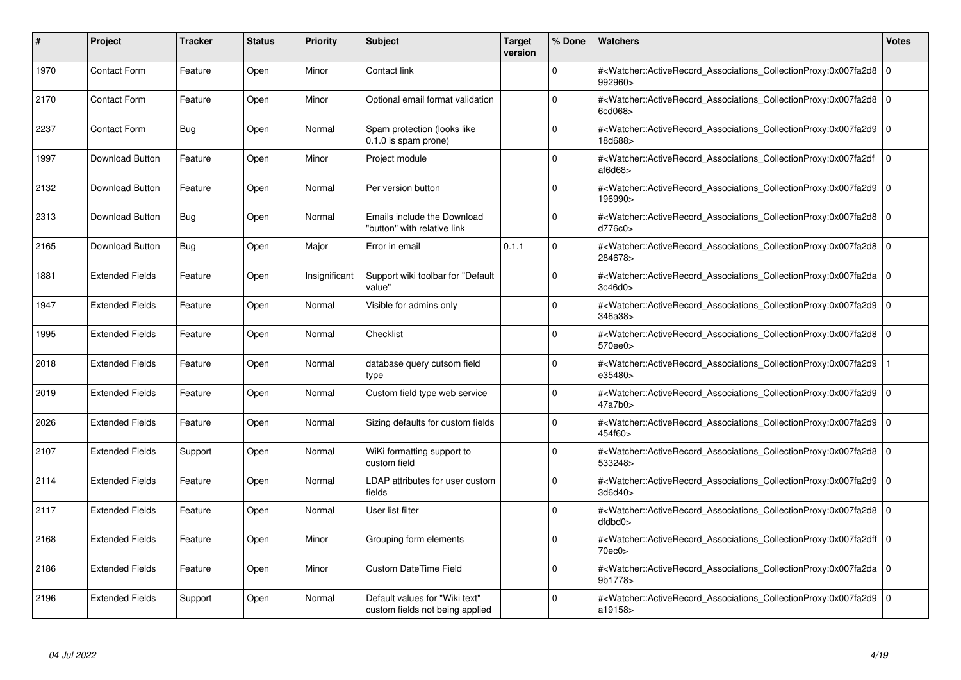| #    | Project                | <b>Tracker</b> | <b>Status</b> | <b>Priority</b> | <b>Subject</b>                                                    | <b>Target</b><br>version | % Done   | <b>Watchers</b>                                                                                                                                                      | <b>Votes</b> |
|------|------------------------|----------------|---------------|-----------------|-------------------------------------------------------------------|--------------------------|----------|----------------------------------------------------------------------------------------------------------------------------------------------------------------------|--------------|
| 1970 | <b>Contact Form</b>    | Feature        | Open          | Minor           | Contact link                                                      |                          | $\Omega$ | # <watcher::activerecord associations="" collectionproxy:0x007fa2d8<br="">992960&gt;</watcher::activerecord>                                                         | $\mathbf 0$  |
| 2170 | <b>Contact Form</b>    | Feature        | Open          | Minor           | Optional email format validation                                  |                          | $\Omega$ | # <watcher::activerecord 0<br="" associations="" collectionproxy:0x007fa2d8=""  ="">6cd068&gt;</watcher::activerecord>                                               |              |
| 2237 | <b>Contact Form</b>    | Bug            | Open          | Normal          | Spam protection (looks like<br>0.1.0 is spam prone)               |                          | $\Omega$ | # <watcher::activerecord_associations_collectionproxy:0x007fa2d9  <br="">18d688&gt;</watcher::activerecord_associations_collectionproxy:0x007fa2d9>                  | $\Omega$     |
| 1997 | Download Button        | Feature        | Open          | Minor           | Project module                                                    |                          | $\Omega$ | # <watcher::activerecord associations="" collectionproxy:0x007fa2df<br="">af6d68</watcher::activerecord>                                                             | $\mathbf 0$  |
| 2132 | Download Button        | Feature        | Open          | Normal          | Per version button                                                |                          | $\Omega$ | # <watcher::activerecord_associations_collectionproxy:0x007fa2d9<br>196990&gt;</watcher::activerecord_associations_collectionproxy:0x007fa2d9<br>                    | $\Omega$     |
| 2313 | Download Button        | Bug            | Open          | Normal          | Emails include the Download<br>"button" with relative link        |                          | $\Omega$ | # <watcher::activerecord 0<br="" associations="" collectionproxy:0x007fa2d8=""  ="">d776c0</watcher::activerecord>                                                   |              |
| 2165 | Download Button        | Bug            | Open          | Major           | Error in email                                                    | 0.1.1                    | $\Omega$ | # <watcher::activerecord_associations_collectionproxy:0x007fa2d8  <br="">284678&gt;</watcher::activerecord_associations_collectionproxy:0x007fa2d8>                  | $\mathbf 0$  |
| 1881 | <b>Extended Fields</b> | Feature        | Open          | Insignificant   | Support wiki toolbar for "Default<br>value"                       |                          | $\Omega$ | # <watcher::activerecord_associations_collectionproxy:0x007fa2da 0<br=""  ="">3c46d0</watcher::activerecord_associations_collectionproxy:0x007fa2da>                 |              |
| 1947 | <b>Extended Fields</b> | Feature        | Open          | Normal          | Visible for admins only                                           |                          | $\Omega$ | # <watcher::activerecord associations="" collectionproxy:0x007fa2d9<br="">346a38&gt;</watcher::activerecord>                                                         | $\mathbf 0$  |
| 1995 | <b>Extended Fields</b> | Feature        | Open          | Normal          | Checklist                                                         |                          | $\Omega$ | # <watcher::activerecord_associations_collectionproxy:0x007fa2d8 0<br="">570ee0&gt;</watcher::activerecord_associations_collectionproxy:0x007fa2d8>                  |              |
| 2018 | <b>Extended Fields</b> | Feature        | Open          | Normal          | database query cutsom field<br>type                               |                          | $\Omega$ | # <watcher::activerecord associations="" collectionproxy:0x007fa2d9<br="">e35480&gt;</watcher::activerecord>                                                         |              |
| 2019 | <b>Extended Fields</b> | Feature        | Open          | Normal          | Custom field type web service                                     |                          | $\Omega$ | # <watcher::activerecord_associations_collectionproxy:0x007fa2d9 0<br=""  ="">47a7b0&gt;</watcher::activerecord_associations_collectionproxy:0x007fa2d9>             |              |
| 2026 | <b>Extended Fields</b> | Feature        | Open          | Normal          | Sizing defaults for custom fields                                 |                          | $\Omega$ | # <watcher::activerecord associations="" collectionproxy:0x007fa2d9<br="">454f60&gt;</watcher::activerecord>                                                         | $\mathbf 0$  |
| 2107 | <b>Extended Fields</b> | Support        | Open          | Normal          | WiKi formatting support to<br>custom field                        |                          | $\Omega$ | # <watcher::activerecord associations="" collectionproxy:0x007fa2d8=""  <br="">533248&gt;</watcher::activerecord>                                                    | $\mathbf 0$  |
| 2114 | <b>Extended Fields</b> | Feature        | Open          | Normal          | LDAP attributes for user custom<br>fields                         |                          | $\Omega$ | # <watcher::activerecord_associations_collectionproxy:0x007fa2d9 0<br=""  ="">3d6d40&gt;</watcher::activerecord_associations_collectionproxy:0x007fa2d9>             |              |
| 2117 | <b>Extended Fields</b> | Feature        | Open          | Normal          | User list filter                                                  |                          | $\Omega$ | # <watcher::activerecord 0<br="" associations="" collectionproxy:0x007fa2d8=""  ="">dfdbd0</watcher::activerecord>                                                   |              |
| 2168 | <b>Extended Fields</b> | Feature        | Open          | Minor           | Grouping form elements                                            |                          | $\Omega$ | # <watcher::activerecord_associations_collectionproxy:0x007fa2dff 0<br=""  ="">70ec0<sub>&gt;</sub></watcher::activerecord_associations_collectionproxy:0x007fa2dff> |              |
| 2186 | <b>Extended Fields</b> | Feature        | Open          | Minor           | Custom DateTime Field                                             |                          | $\Omega$ | # <watcher::activerecord 0<br="" associations="" collectionproxy:0x007fa2da=""  ="">9b1778&gt;</watcher::activerecord>                                               |              |
| 2196 | <b>Extended Fields</b> | Support        | Open          | Normal          | Default values for "Wiki text"<br>custom fields not being applied |                          | $\Omega$ | # <watcher::activerecord_associations_collectionproxy:0x007fa2d9 0<br=""  ="">a19158&gt;</watcher::activerecord_associations_collectionproxy:0x007fa2d9>             |              |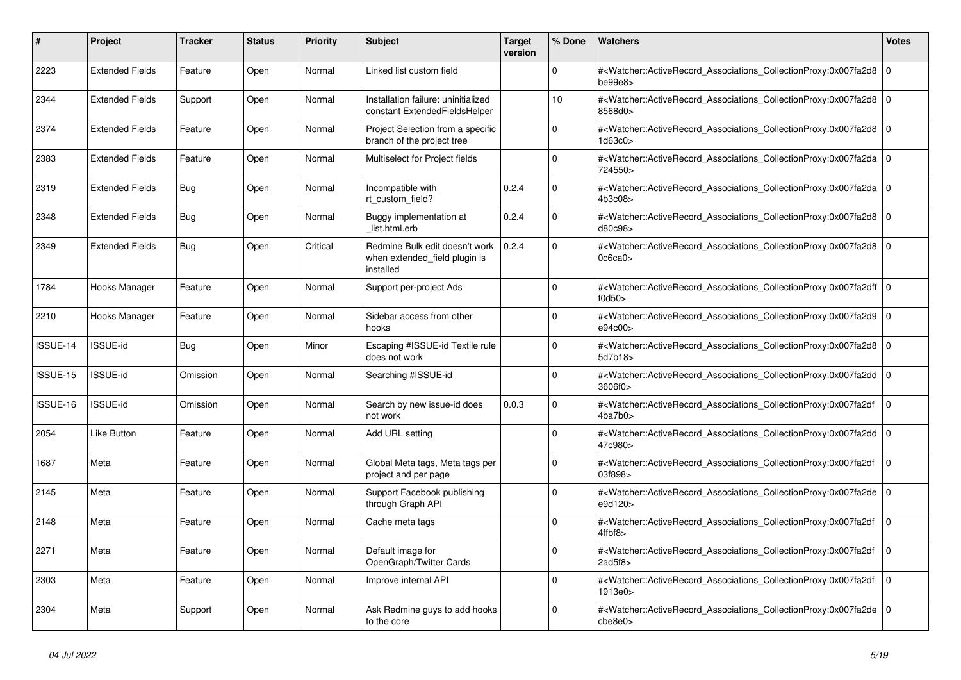| $\vert$ # | Project                | <b>Tracker</b> | <b>Status</b> | <b>Priority</b> | <b>Subject</b>                                                               | <b>Target</b><br>version | % Done      | <b>Watchers</b>                                                                                                                                                         | Votes          |
|-----------|------------------------|----------------|---------------|-----------------|------------------------------------------------------------------------------|--------------------------|-------------|-------------------------------------------------------------------------------------------------------------------------------------------------------------------------|----------------|
| 2223      | <b>Extended Fields</b> | Feature        | Open          | Normal          | Linked list custom field                                                     |                          | $\Omega$    | # <watcher::activerecord_associations_collectionproxy:0x007fa2d8<br>be99e8&gt;</watcher::activerecord_associations_collectionproxy:0x007fa2d8<br>                       | l o            |
| 2344      | <b>Extended Fields</b> | Support        | Open          | Normal          | Installation failure: uninitialized<br>constant ExtendedFieldsHelper         |                          | 10          | # <watcher::activerecord_associations_collectionproxy:0x007fa2d8<br>8568d0&gt;</watcher::activerecord_associations_collectionproxy:0x007fa2d8<br>                       | l O            |
| 2374      | <b>Extended Fields</b> | Feature        | Open          | Normal          | Project Selection from a specific<br>branch of the project tree              |                          | $\Omega$    | # <watcher::activerecord 0<br="" associations="" collectionproxy:0x007fa2d8=""  ="">1d63c0&gt;</watcher::activerecord>                                                  |                |
| 2383      | <b>Extended Fields</b> | Feature        | Open          | Normal          | Multiselect for Project fields                                               |                          | $\Omega$    | # <watcher::activerecord_associations_collectionproxy:0x007fa2da<br>724550&gt;</watcher::activerecord_associations_collectionproxy:0x007fa2da<br>                       | 0              |
| 2319      | <b>Extended Fields</b> | <b>Bug</b>     | Open          | Normal          | Incompatible with<br>rt custom field?                                        | 0.2.4                    | $\Omega$    | # <watcher::activerecord_associations_collectionproxy:0x007fa2da 0<br=""  ="">4b3c08&gt;</watcher::activerecord_associations_collectionproxy:0x007fa2da>                |                |
| 2348      | <b>Extended Fields</b> | Bug            | Open          | Normal          | Buggy implementation at<br>list.html.erb                                     | 0.2.4                    | $\Omega$    | # <watcher::activerecord 0<br="" associations="" collectionproxy:0x007fa2d8=""  ="">d80c98&gt;</watcher::activerecord>                                                  |                |
| 2349      | <b>Extended Fields</b> | <b>Bug</b>     | Open          | Critical        | Redmine Bulk edit doesn't work<br>when extended field plugin is<br>installed | 0.2.4                    | $\Omega$    | # <watcher::activerecord associations="" collectionproxy:0x007fa2d8<br="">0c6ca0&gt;</watcher::activerecord>                                                            | l o            |
| 1784      | Hooks Manager          | Feature        | Open          | Normal          | Support per-project Ads                                                      |                          | $\Omega$    | # <watcher::activerecord_associations_collectionproxy:0x007fa2dff 0<br=""  ="">f0d50</watcher::activerecord_associations_collectionproxy:0x007fa2dff>                   |                |
| 2210      | Hooks Manager          | Feature        | Open          | Normal          | Sidebar access from other<br>hooks                                           |                          | $\Omega$    | # <watcher::activerecord_associations_collectionproxy:0x007fa2d9<br>e94c00&gt;</watcher::activerecord_associations_collectionproxy:0x007fa2d9<br>                       | l o            |
| ISSUE-14  | <b>ISSUE-id</b>        | <b>Bug</b>     | Open          | Minor           | Escaping #ISSUE-id Textile rule<br>does not work                             |                          | $\Omega$    | # <watcher::activerecord_associations_collectionproxy:0x007fa2d8<br>5d7b18&gt;</watcher::activerecord_associations_collectionproxy:0x007fa2d8<br>                       | l O            |
| ISSUE-15  | <b>ISSUE-id</b>        | Omission       | Open          | Normal          | Searching #ISSUE-id                                                          |                          | $\Omega$    | # <watcher::activerecord_associations_collectionproxy:0x007fa2dd 0<br="">3606f0&gt;</watcher::activerecord_associations_collectionproxy:0x007fa2dd>                     |                |
| ISSUE-16  | <b>ISSUE-id</b>        | Omission       | Open          | Normal          | Search by new issue-id does<br>not work                                      | 0.0.3                    | $\mathbf 0$ | # <watcher::activerecord_associations_collectionproxy:0x007fa2df<br>4ba7b0&gt;</watcher::activerecord_associations_collectionproxy:0x007fa2df<br>                       | $\mathbf 0$    |
| 2054      | <b>Like Button</b>     | Feature        | Open          | Normal          | Add URL setting                                                              |                          | $\Omega$    | # <watcher::activerecord_associations_collectionproxy:0x007fa2dd<br>47c980&gt;</watcher::activerecord_associations_collectionproxy:0x007fa2dd<br>                       | $\overline{0}$ |
| 1687      | Meta                   | Feature        | Open          | Normal          | Global Meta tags, Meta tags per<br>project and per page                      |                          | $\Omega$    | # <watcher::activerecord associations="" collectionproxy:0x007fa2df<br="">03f898&gt;</watcher::activerecord>                                                            | $\mathbf 0$    |
| 2145      | Meta                   | Feature        | Open          | Normal          | Support Facebook publishing<br>through Graph API                             |                          | $\mathbf 0$ | # <watcher::activerecord associations="" collectionproxy:0x007fa2de<br="">e9d120&gt;</watcher::activerecord>                                                            | l O            |
| 2148      | Meta                   | Feature        | Open          | Normal          | Cache meta tags                                                              |                          | $\Omega$    | # <watcher::activerecord_associations_collectionproxy:0x007fa2df<br><math>4</math>ffbf<math>8</math></watcher::activerecord_associations_collectionproxy:0x007fa2df<br> | $\Omega$       |
| 2271      | Meta                   | Feature        | Open          | Normal          | Default image for<br>OpenGraph/Twitter Cards                                 |                          | $\Omega$    | # <watcher::activerecord associations="" collectionproxy:0x007fa2df<br="">2ad5f8</watcher::activerecord>                                                                | $\Omega$       |
| 2303      | Meta                   | Feature        | Open          | Normal          | Improve internal API                                                         |                          | $\Omega$    | # <watcher::activerecord_associations_collectionproxy:0x007fa2df<br>1913e0&gt;</watcher::activerecord_associations_collectionproxy:0x007fa2df<br>                       | $\mathbf 0$    |
| 2304      | Meta                   | Support        | Open          | Normal          | Ask Redmine guys to add hooks<br>to the core                                 |                          | $\Omega$    | # <watcher::activerecord_associations_collectionproxy:0x007fa2de<br>che8e0<sub>&gt;</sub></watcher::activerecord_associations_collectionproxy:0x007fa2de<br>            | l O            |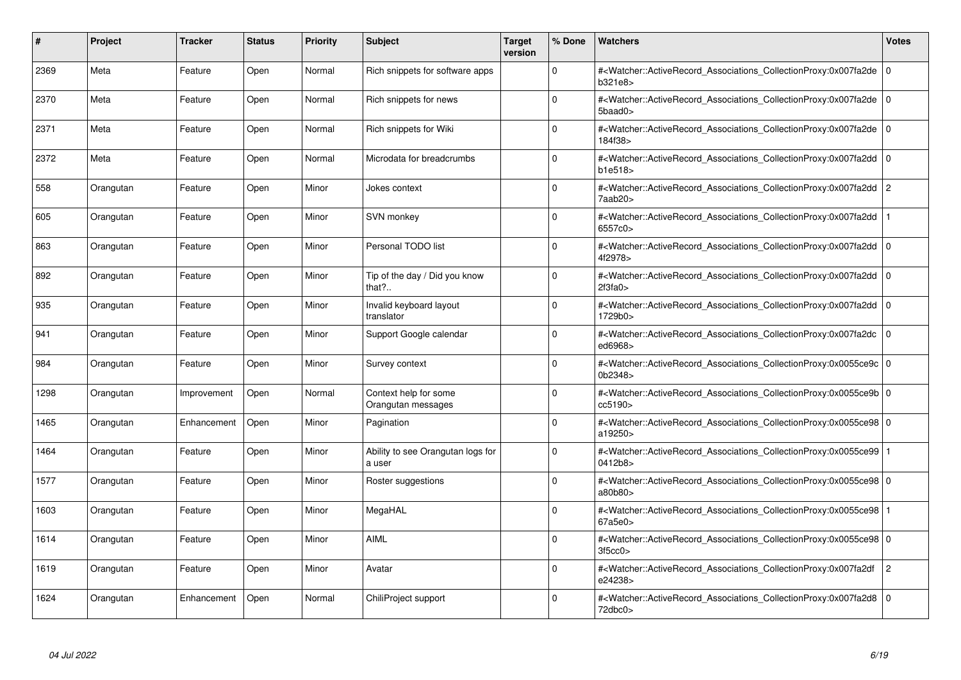| #    | Project   | <b>Tracker</b> | <b>Status</b> | <b>Priority</b> | <b>Subject</b>                              | <b>Target</b><br>version | % Done      | <b>Watchers</b>                                                                                                                                          | <b>Votes</b>   |
|------|-----------|----------------|---------------|-----------------|---------------------------------------------|--------------------------|-------------|----------------------------------------------------------------------------------------------------------------------------------------------------------|----------------|
| 2369 | Meta      | Feature        | Open          | Normal          | Rich snippets for software apps             |                          | $\Omega$    | # <watcher::activerecord associations="" collectionproxy:0x007fa2de=""  <br="">b321e8&gt;</watcher::activerecord>                                        | $\mathbf 0$    |
| 2370 | Meta      | Feature        | Open          | Normal          | Rich snippets for news                      |                          | $\Omega$    | # <watcher::activerecord 0<br="" associations="" collectionproxy:0x007fa2de=""  ="">5baad0&gt;</watcher::activerecord>                                   |                |
| 2371 | Meta      | Feature        | Open          | Normal          | Rich snippets for Wiki                      |                          | $\Omega$    | # <watcher::activerecord_associations_collectionproxy:0x007fa2de  <br="">184f38&gt;</watcher::activerecord_associations_collectionproxy:0x007fa2de>      | $\Omega$       |
| 2372 | Meta      | Feature        | Open          | Normal          | Microdata for breadcrumbs                   |                          | $\Omega$    | # <watcher::activerecord_associations_collectionproxy:0x007fa2dd 0<br="">b1e518</watcher::activerecord_associations_collectionproxy:0x007fa2dd>          |                |
| 558  | Orangutan | Feature        | Open          | Minor           | Jokes context                               |                          | $\Omega$    | # <watcher::activerecord_associations_collectionproxy:0x007fa2dd<br>7aab20&gt;</watcher::activerecord_associations_collectionproxy:0x007fa2dd<br>        | $\overline{c}$ |
| 605  | Orangutan | Feature        | Open          | Minor           | SVN monkey                                  |                          | $\Omega$    | # <watcher::activerecord_associations_collectionproxy:0x007fa2dd<br>6557c0&gt;</watcher::activerecord_associations_collectionproxy:0x007fa2dd<br>        |                |
| 863  | Orangutan | Feature        | Open          | Minor           | Personal TODO list                          |                          | $\Omega$    | # <watcher::activerecord associations="" collectionproxy:0x007fa2dd<br="">4f2978&gt;</watcher::activerecord>                                             | $\mathbf 0$    |
| 892  | Orangutan | Feature        | Open          | Minor           | Tip of the day / Did you know<br>that?      |                          | $\Omega$    | # <watcher::activerecord_associations_collectionproxy:0x007fa2dd 0<br=""  ="">2f3fa0&gt;</watcher::activerecord_associations_collectionproxy:0x007fa2dd> |                |
| 935  | Orangutan | Feature        | Open          | Minor           | Invalid keyboard layout<br>translator       |                          | $\Omega$    | # <watcher::activerecord associations="" collectionproxy:0x007fa2dd<br="">1729b0&gt;</watcher::activerecord>                                             | $\mathbf 0$    |
| 941  | Orangutan | Feature        | Open          | Minor           | Support Google calendar                     |                          | $\Omega$    | # <watcher::activerecord associations="" collectionproxy:0x007fa2dc=""  <br="">ed6968&gt;</watcher::activerecord>                                        | $\mathbf 0$    |
| 984  | Orangutan | Feature        | Open          | Minor           | Survey context                              |                          | $\Omega$    | # <watcher::activerecord_associations_collectionproxy:0x0055ce9c 0<br=""  ="">0b2348&gt;</watcher::activerecord_associations_collectionproxy:0x0055ce9c> |                |
| 1298 | Orangutan | Improvement    | Open          | Normal          | Context help for some<br>Orangutan messages |                          | $\Omega$    | # <watcher::activerecord 0<br="" associations="" collectionproxy:0x0055ce9b=""  ="">cc5190&gt;</watcher::activerecord>                                   |                |
| 1465 | Orangutan | Enhancement    | Open          | Minor           | Pagination                                  |                          | $\Omega$    | # <watcher::activerecord 0<br="" associations="" collectionproxy:0x0055ce98="">a19250&gt;</watcher::activerecord>                                        |                |
| 1464 | Orangutan | Feature        | Open          | Minor           | Ability to see Orangutan logs for<br>a user |                          | $\Omega$    | # <watcher::activerecord_associations_collectionproxy:0x0055ce99  <br="">0412b8&gt;</watcher::activerecord_associations_collectionproxy:0x0055ce99>      |                |
| 1577 | Orangutan | Feature        | Open          | Minor           | Roster suggestions                          |                          | $\Omega$    | # <watcher::activerecord 0<br="" associations="" collectionproxy:0x0055ce98=""  ="">a80b80&gt;</watcher::activerecord>                                   |                |
| 1603 | Orangutan | Feature        | Open          | Minor           | MegaHAL                                     |                          | $\Omega$    | # <watcher::activerecord_associations_collectionproxy:0x0055ce98  <br="">67a5e0&gt;</watcher::activerecord_associations_collectionproxy:0x0055ce98>      |                |
| 1614 | Orangutan | Feature        | Open          | Minor           | <b>AIML</b>                                 |                          | $\Omega$    | # <watcher::activerecord_associations_collectionproxy:0x0055ce98 0<br=""  ="">3f5cc0</watcher::activerecord_associations_collectionproxy:0x0055ce98>     |                |
| 1619 | Orangutan | Feature        | Open          | Minor           | Avatar                                      |                          | $\mathbf 0$ | # <watcher::activerecord associations="" collectionproxy:0x007fa2df<br="">e24238&gt;</watcher::activerecord>                                             | $\overline{c}$ |
| 1624 | Orangutan | Enhancement    | Open          | Normal          | ChiliProject support                        |                          | $\Omega$    | # <watcher::activerecord_associations_collectionproxy:0x007fa2d8 0<br=""  ="">72dbc0&gt;</watcher::activerecord_associations_collectionproxy:0x007fa2d8> |                |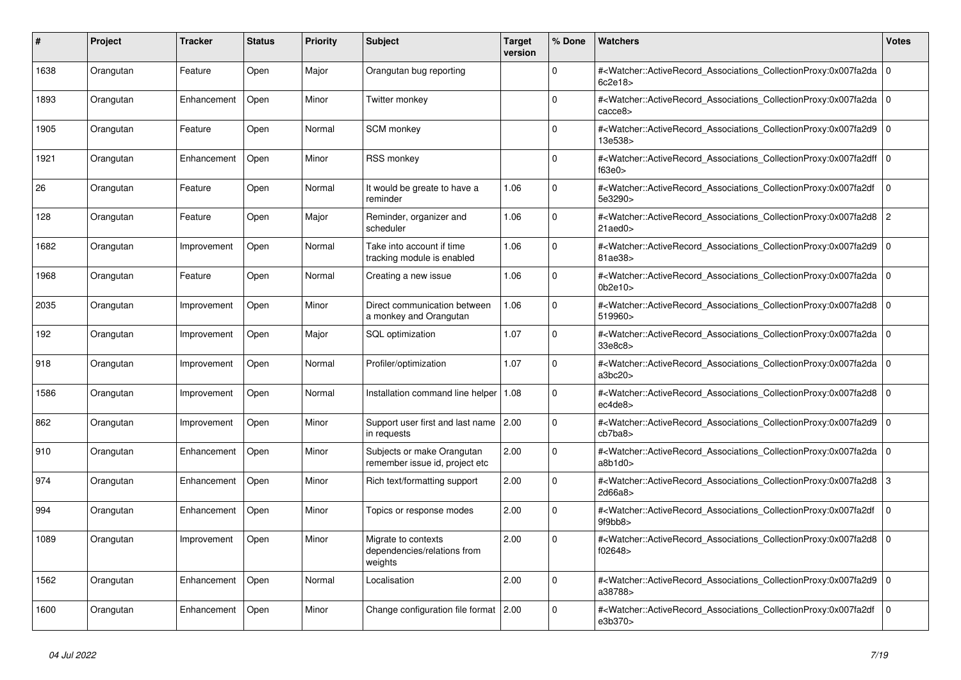| #    | <b>Project</b> | <b>Tracker</b> | <b>Status</b> | <b>Priority</b> | <b>Subject</b>                                                | <b>Target</b><br>version | % Done      | <b>Watchers</b>                                                                                                                                          | <b>Votes</b>   |
|------|----------------|----------------|---------------|-----------------|---------------------------------------------------------------|--------------------------|-------------|----------------------------------------------------------------------------------------------------------------------------------------------------------|----------------|
| 1638 | Orangutan      | Feature        | Open          | Major           | Orangutan bug reporting                                       |                          | $\Omega$    | # <watcher::activerecord associations="" collectionproxy:0x007fa2da<br="">6c2e18&gt;</watcher::activerecord>                                             | ١o             |
| 1893 | Orangutan      | Enhancement    | Open          | Minor           | Twitter monkey                                                |                          | $\Omega$    | # <watcher::activerecord_associations_collectionproxy:0x007fa2da<br>cacce8&gt;</watcher::activerecord_associations_collectionproxy:0x007fa2da<br>        | l O            |
| 1905 | Orangutan      | Feature        | Open          | Normal          | <b>SCM</b> monkey                                             |                          | $\Omega$    | # <watcher::activerecord_associations_collectionproxy:0x007fa2d9 0<br=""  ="">13e538&gt;</watcher::activerecord_associations_collectionproxy:0x007fa2d9> |                |
| 1921 | Orangutan      | Enhancement    | Open          | Minor           | <b>RSS monkey</b>                                             |                          | $\Omega$    | # <watcher::activerecord 0<br="" associations="" collectionproxy:0x007fa2dff=""  ="">f63e0</watcher::activerecord>                                       |                |
| 26   | Orangutan      | Feature        | Open          | Normal          | It would be greate to have a<br>reminder                      | 1.06                     | $\mathbf 0$ | # <watcher::activerecord_associations_collectionproxy:0x007fa2df<br>5e3290&gt;</watcher::activerecord_associations_collectionproxy:0x007fa2df<br>        | $\Omega$       |
| 128  | Orangutan      | Feature        | Open          | Major           | Reminder, organizer and<br>scheduler                          | 1.06                     | $\Omega$    | # <watcher::activerecord associations="" collectionproxy:0x007fa2d8<br=""><math>21</math>aed<math>0</math></watcher::activerecord>                       | $\overline{2}$ |
| 1682 | Orangutan      | Improvement    | Open          | Normal          | Take into account if time<br>tracking module is enabled       | 1.06                     | $\Omega$    | # <watcher::activerecord_associations_collectionproxy:0x007fa2d9<br>81ae38&gt;</watcher::activerecord_associations_collectionproxy:0x007fa2d9<br>        | $\overline{0}$ |
| 1968 | Orangutan      | Feature        | Open          | Normal          | Creating a new issue                                          | 1.06                     | $\Omega$    | # <watcher::activerecord_associations_collectionproxy:0x007fa2da 0<br=""  ="">0b2e10</watcher::activerecord_associations_collectionproxy:0x007fa2da>     |                |
| 2035 | Orangutan      | Improvement    | Open          | Minor           | Direct communication between<br>a monkey and Orangutan        | 1.06                     | $\Omega$    | # <watcher::activerecord_associations_collectionproxy:0x007fa2d8 0<br=""  ="">519960&gt;</watcher::activerecord_associations_collectionproxy:0x007fa2d8> |                |
| 192  | Orangutan      | Improvement    | Open          | Major           | SQL optimization                                              | 1.07                     | $\Omega$    | # <watcher::activerecord_associations_collectionproxy:0x007fa2da<br>33e8c8&gt;</watcher::activerecord_associations_collectionproxy:0x007fa2da<br>        | l O            |
| 918  | Orangutan      | Improvement    | Open          | Normal          | Profiler/optimization                                         | 1.07                     | $\Omega$    | # <watcher::activerecord associations="" collectionproxy:0x007fa2da<br="">a3bc20&gt;</watcher::activerecord>                                             | l O            |
| 1586 | Orangutan      | Improvement    | Open          | Normal          | Installation command line helper                              | 1.08                     | $\Omega$    | # <watcher::activerecord_associations_collectionproxy:0x007fa2d8<br>ec4de8&gt;</watcher::activerecord_associations_collectionproxy:0x007fa2d8<br>        | l o            |
| 862  | Orangutan      | Improvement    | Open          | Minor           | Support user first and last name<br>in requests               | 2.00                     | $\Omega$    | # <watcher::activerecord associations="" collectionproxy:0x007fa2d9<br="">cb7ba8</watcher::activerecord>                                                 | ۱o             |
| 910  | Orangutan      | Enhancement    | Open          | Minor           | Subjects or make Orangutan<br>remember issue id, project etc  | 2.00                     | $\Omega$    | # <watcher::activerecord_associations_collectionproxy:0x007fa2da<br>a8b1d0</watcher::activerecord_associations_collectionproxy:0x007fa2da<br>            | l O            |
| 974  | Orangutan      | Enhancement    | Open          | Minor           | Rich text/formatting support                                  | 2.00                     | $\mathbf 0$ | # <watcher::activerecord associations="" collectionproxy:0x007fa2d8<br="">2d66a8&gt;</watcher::activerecord>                                             | l 3            |
| 994  | Orangutan      | Enhancement    | Open          | Minor           | Topics or response modes                                      | 2.00                     | $\Omega$    | # <watcher::activerecord_associations_collectionproxy:0x007fa2df<br>9f9bb8&gt;</watcher::activerecord_associations_collectionproxy:0x007fa2df<br>        | $\Omega$       |
| 1089 | Orangutan      | Improvement    | Open          | Minor           | Migrate to contexts<br>dependencies/relations from<br>weights | 2.00                     | $\Omega$    | # <watcher::activerecord associations="" collectionproxy:0x007fa2d8<br="">f02648&gt;</watcher::activerecord>                                             | ۱o             |
| 1562 | Orangutan      | Enhancement    | Open          | Normal          | Localisation                                                  | 2.00                     | $\Omega$    | # <watcher::activerecord 0<br="" associations="" collectionproxy:0x007fa2d9=""  ="">a38788&gt;</watcher::activerecord>                                   |                |
| 1600 | Orangutan      | Enhancement    | Open          | Minor           | Change configuration file format                              | 2.00                     | $\Omega$    | # <watcher::activerecord_associations_collectionproxy:0x007fa2df<br>e3b370&gt;</watcher::activerecord_associations_collectionproxy:0x007fa2df<br>        | $\Omega$       |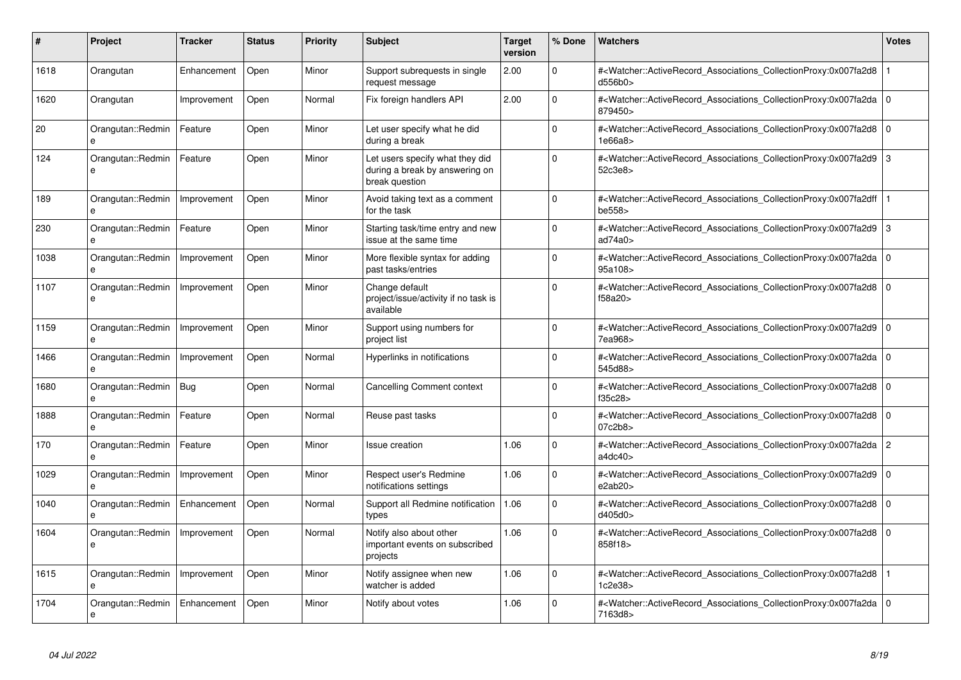| #    | <b>Project</b>                    | <b>Tracker</b> | <b>Status</b> | Priority | <b>Subject</b>                                                                      | <b>Target</b><br>version | % Done   | <b>Watchers</b>                                                                                                                                          | <b>Votes</b> |
|------|-----------------------------------|----------------|---------------|----------|-------------------------------------------------------------------------------------|--------------------------|----------|----------------------------------------------------------------------------------------------------------------------------------------------------------|--------------|
| 1618 | Orangutan                         | Enhancement    | Open          | Minor    | Support subrequests in single<br>request message                                    | 2.00                     | $\Omega$ | # <watcher::activerecord associations="" collectionproxy:0x007fa2d8<br="">d556b0&gt;</watcher::activerecord>                                             |              |
| 1620 | Orangutan                         | Improvement    | Open          | Normal   | Fix foreign handlers API                                                            | 2.00                     | $\Omega$ | # <watcher::activerecord_associations_collectionproxy:0x007fa2da 0<br=""  ="">879450&gt;</watcher::activerecord_associations_collectionproxy:0x007fa2da> |              |
| 20   | Orangutan::Redmin<br>e            | Feature        | Open          | Minor    | Let user specify what he did<br>during a break                                      |                          | $\Omega$ | # <watcher::activerecord_associations_collectionproxy:0x007fa2d8 0<br="">1e66a8</watcher::activerecord_associations_collectionproxy:0x007fa2d8>          |              |
| 124  | Orangutan::Redmin<br>e            | Feature        | Open          | Minor    | Let users specify what they did<br>during a break by answering on<br>break question |                          | $\Omega$ | # <watcher::activerecord_associations_collectionproxy:0x007fa2d9 3<br="">52c3e8</watcher::activerecord_associations_collectionproxy:0x007fa2d9>          |              |
| 189  | Orangutan::Redmin                 | Improvement    | Open          | Minor    | Avoid taking text as a comment<br>for the task                                      |                          | $\Omega$ | # <watcher::activerecord_associations_collectionproxy:0x007fa2dff<br>be558&gt;</watcher::activerecord_associations_collectionproxy:0x007fa2dff<br>       |              |
| 230  | Orangutan::Redmin                 | Feature        | Open          | Minor    | Starting task/time entry and new<br>issue at the same time                          |                          | $\Omega$ | # <watcher::activerecord_associations_collectionproxy:0x007fa2d9 3<br="">ad74a0</watcher::activerecord_associations_collectionproxy:0x007fa2d9>          |              |
| 1038 | Orangutan::Redmin<br>e            | Improvement    | Open          | Minor    | More flexible syntax for adding<br>past tasks/entries                               |                          | $\Omega$ | # <watcher::activerecord 0<br="" associations="" collectionproxy:0x007fa2da=""  ="">95a108&gt;</watcher::activerecord>                                   |              |
| 1107 | Orangutan::Redmin<br>e            | Improvement    | Open          | Minor    | Change default<br>project/issue/activity if no task is<br>available                 |                          | $\Omega$ | # <watcher::activerecord 0<br="" associations="" collectionproxy:0x007fa2d8=""  ="">f58a20&gt;</watcher::activerecord>                                   |              |
| 1159 | Orangutan::Redmin<br>e            | Improvement    | Open          | Minor    | Support using numbers for<br>project list                                           |                          | 0        | # <watcher::activerecord 0<br="" associations="" collectionproxy:0x007fa2d9=""  ="">7ea968&gt;</watcher::activerecord>                                   |              |
| 1466 | Orangutan::Redmin                 | Improvement    | Open          | Normal   | Hyperlinks in notifications                                                         |                          | $\Omega$ | # <watcher::activerecord 0<br="" associations="" collectionproxy:0x007fa2da=""  ="">545d88&gt;</watcher::activerecord>                                   |              |
| 1680 | Orangutan::Redmin Bug             |                | Open          | Normal   | <b>Cancelling Comment context</b>                                                   |                          | $\Omega$ | # <watcher::activerecord_associations_collectionproxy:0x007fa2d8 0<br=""  ="">f35c28&gt;</watcher::activerecord_associations_collectionproxy:0x007fa2d8> |              |
| 1888 | Orangutan::Redmin<br>e            | Feature        | Open          | Normal   | Reuse past tasks                                                                    |                          | $\Omega$ | # <watcher::activerecord_associations_collectionproxy:0x007fa2d8 0<br="">07c2b8&gt;</watcher::activerecord_associations_collectionproxy:0x007fa2d8>      |              |
| 170  | Orangutan::Redmin<br>e            | Feature        | Open          | Minor    | <b>Issue creation</b>                                                               | 1.06                     | $\Omega$ | # <watcher::activerecord_associations_collectionproxy:0x007fa2da 2<br="">adc40&gt;</watcher::activerecord_associations_collectionproxy:0x007fa2da>       |              |
| 1029 | Orangutan::Redmin<br>e            | Improvement    | Open          | Minor    | Respect user's Redmine<br>notifications settings                                    | 1.06                     | 0        | # <watcher::activerecord_associations_collectionproxy:0x007fa2d9 0<br=""  ="">e2ab20</watcher::activerecord_associations_collectionproxy:0x007fa2d9>     |              |
| 1040 | Orangutan::Redmin<br>$\mathbf{a}$ | Enhancement    | Open          | Normal   | Support all Redmine notification<br>types                                           | 1.06                     | $\Omega$ | # <watcher::activerecord 0<br="" associations="" collectionproxy:0x007fa2d8=""  ="">d405d0</watcher::activerecord>                                       |              |
| 1604 | Orangutan::Redmin<br>e            | Improvement    | Open          | Normal   | Notify also about other<br>important events on subscribed<br>projects               | 1.06                     | $\Omega$ | # <watcher::activerecord_associations_collectionproxy:0x007fa2d8 0<br=""  ="">858f18&gt;</watcher::activerecord_associations_collectionproxy:0x007fa2d8> |              |
| 1615 | Orangutan::Redmin<br>e            | Improvement    | Open          | Minor    | Notify assignee when new<br>watcher is added                                        | 1.06                     | $\Omega$ | # <watcher::activerecord associations="" collectionproxy:0x007fa2d8<br="">1c2e38&gt;</watcher::activerecord>                                             |              |
| 1704 | Orangutan::Redmin<br>e            | Enhancement    | Open          | Minor    | Notify about votes                                                                  | 1.06                     | $\Omega$ | # <watcher::activerecord_associations_collectionproxy:0x007fa2da 0<br=""  ="">7163d8&gt;</watcher::activerecord_associations_collectionproxy:0x007fa2da> |              |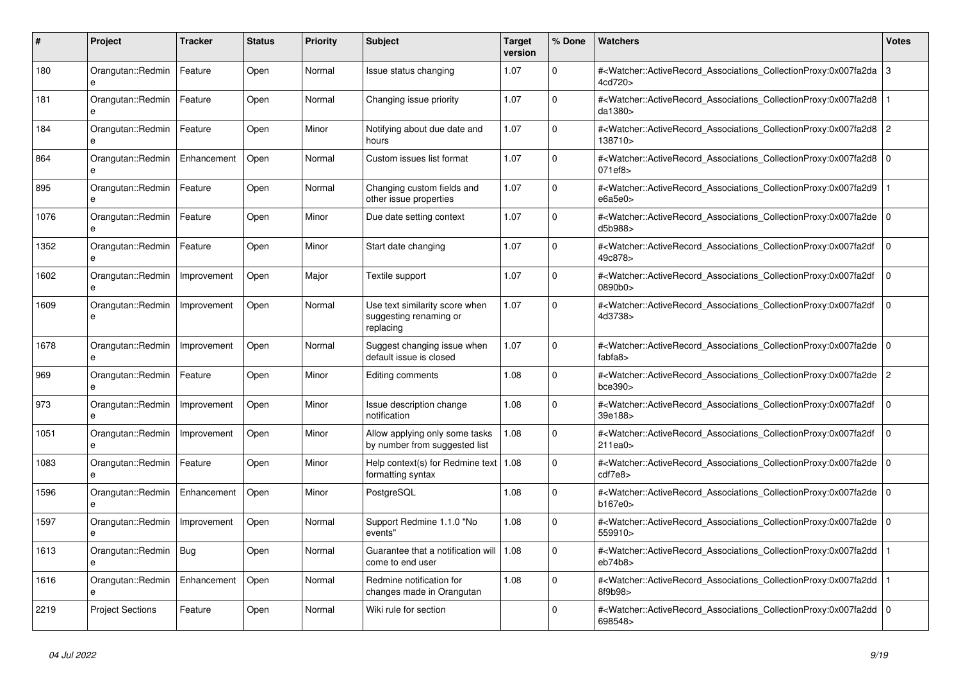| #    | <b>Project</b>                    | <b>Tracker</b> | <b>Status</b> | <b>Priority</b> | <b>Subject</b>                                                        | <b>Target</b><br>version | % Done         | <b>Watchers</b>                                                                                                                                          | Votes       |
|------|-----------------------------------|----------------|---------------|-----------------|-----------------------------------------------------------------------|--------------------------|----------------|----------------------------------------------------------------------------------------------------------------------------------------------------------|-------------|
| 180  | Orangutan::Redmin<br>e            | Feature        | Open          | Normal          | Issue status changing                                                 | 1.07                     | $\Omega$       | # <watcher::activerecord_associations_collectionproxy:0x007fa2da<br>4cd720&gt;</watcher::activerecord_associations_collectionproxy:0x007fa2da<br>        | 3           |
| 181  | Orangutan::Redmin<br>e            | Feature        | Open          | Normal          | Changing issue priority                                               | 1.07                     | $\overline{0}$ | # <watcher::activerecord associations="" collectionproxy:0x007fa2d8<br="">da1380&gt;</watcher::activerecord>                                             |             |
| 184  | Orangutan::Redmin<br>e            | Feature        | Open          | Minor           | Notifying about due date and<br>hours                                 | 1.07                     | $\Omega$       | # <watcher::activerecord associations="" collectionproxy:0x007fa2d8<br="">138710&gt;</watcher::activerecord>                                             | 2           |
| 864  | Orangutan::Redmin                 | Enhancement    | Open          | Normal          | Custom issues list format                                             | 1.07                     | $\Omega$       | # <watcher::activerecord_associations_collectionproxy:0x007fa2d8<br>071ef8&gt;</watcher::activerecord_associations_collectionproxy:0x007fa2d8<br>        | $\Omega$    |
| 895  | Orangutan::Redmin<br>e            | Feature        | Open          | Normal          | Changing custom fields and<br>other issue properties                  | 1.07                     | $\mathbf 0$    | # <watcher::activerecord_associations_collectionproxy:0x007fa2d9<br>e6a5e0&gt;</watcher::activerecord_associations_collectionproxy:0x007fa2d9<br>        |             |
| 1076 | Orangutan::Redmin                 | Feature        | Open          | Minor           | Due date setting context                                              | 1.07                     | $\Omega$       | # <watcher::activerecord_associations_collectionproxy:0x007fa2de 0<br=""  ="">d5b988&gt;</watcher::activerecord_associations_collectionproxy:0x007fa2de> |             |
| 1352 | Orangutan::Redmin<br>$\mathbf{e}$ | Feature        | Open          | Minor           | Start date changing                                                   | 1.07                     | <sup>0</sup>   | # <watcher::activerecord associations="" collectionproxy:0x007fa2df<br="">49c878&gt;</watcher::activerecord>                                             | $\mathbf 0$ |
| 1602 | Orangutan::Redmin<br>e            | Improvement    | Open          | Major           | Textile support                                                       | 1.07                     | $\Omega$       | # <watcher::activerecord_associations_collectionproxy:0x007fa2df<br>0890b0&gt;</watcher::activerecord_associations_collectionproxy:0x007fa2df<br>        | $\Omega$    |
| 1609 | Orangutan::Redmin<br>e            | Improvement    | Open          | Normal          | Use text similarity score when<br>suggesting renaming or<br>replacing | 1.07                     | $\Omega$       | # <watcher::activerecord_associations_collectionproxy:0x007fa2df<br>4d3738&gt;</watcher::activerecord_associations_collectionproxy:0x007fa2df<br>        | $\mathbf 0$ |
| 1678 | Orangutan::Redmin<br>e            | Improvement    | Open          | Normal          | Suggest changing issue when<br>default issue is closed                | 1.07                     | 0              | # <watcher::activerecord 0<br="" associations="" collectionproxy:0x007fa2de=""  ="">fabfa8&gt;</watcher::activerecord>                                   |             |
| 969  | Orangutan::Redmin<br>e            | Feature        | Open          | Minor           | Editing comments                                                      | 1.08                     | 0              | # <watcher::activerecord associations="" collectionproxy:0x007fa2de<br="">bce390&gt;</watcher::activerecord>                                             | 2           |
| 973  | Orangutan::Redmin<br>e            | Improvement    | Open          | Minor           | Issue description change<br>notification                              | 1.08                     | $\Omega$       | # <watcher::activerecord associations="" collectionproxy:0x007fa2df<br="">39e188&gt;</watcher::activerecord>                                             | $\Omega$    |
| 1051 | Orangutan::Redmin<br>e            | Improvement    | Open          | Minor           | Allow applying only some tasks<br>by number from suggested list       | 1.08                     | $\mathbf 0$    | # <watcher::activerecord associations="" collectionproxy:0x007fa2df<br="">211ea0&gt;</watcher::activerecord>                                             | $\mathbf 0$ |
| 1083 | Orangutan::Redmin<br>e            | Feature        | Open          | Minor           | Help context(s) for Redmine text   $1.08$<br>formatting syntax        |                          | $\Omega$       | # <watcher::activerecord 0<br="" associations="" collectionproxy:0x007fa2de=""  ="">cdf7e8&gt;</watcher::activerecord>                                   |             |
| 1596 | Orangutan::Redmin<br>e            | Enhancement    | Open          | Minor           | PostgreSQL                                                            | 1.08                     | $\Omega$       | # <watcher::activerecord_associations_collectionproxy:0x007fa2de<br>b167e0</watcher::activerecord_associations_collectionproxy:0x007fa2de<br>            | $\mathbf 0$ |
| 1597 | Orangutan::Redmin<br>e            | Improvement    | Open          | Normal          | Support Redmine 1.1.0 "No<br>events"                                  | 1.08                     | $\Omega$       | # <watcher::activerecord_associations_collectionproxy:0x007fa2de 0<br="">559910&gt;</watcher::activerecord_associations_collectionproxy:0x007fa2de>      |             |
| 1613 | Orangutan::Redmin                 | Bug            | Open          | Normal          | Guarantee that a notification will<br>come to end user                | 1.08                     | $\mathbf 0$    | # <watcher::activerecord_associations_collectionproxy:0x007fa2dd<br>eb74b8</watcher::activerecord_associations_collectionproxy:0x007fa2dd<br>            |             |
| 1616 | Orangutan::Redmin                 | Enhancement    | Open          | Normal          | Redmine notification for<br>changes made in Orangutan                 | 1.08                     | <sup>0</sup>   | # <watcher::activerecord_associations_collectionproxy:0x007fa2dd<br>8f9b98&gt;</watcher::activerecord_associations_collectionproxy:0x007fa2dd<br>        |             |
| 2219 | <b>Project Sections</b>           | Feature        | Open          | Normal          | Wiki rule for section                                                 |                          | $\Omega$       | # <watcher::activerecord_associations_collectionproxy:0x007fa2dd 0<br=""  ="">698548&gt;</watcher::activerecord_associations_collectionproxy:0x007fa2dd> |             |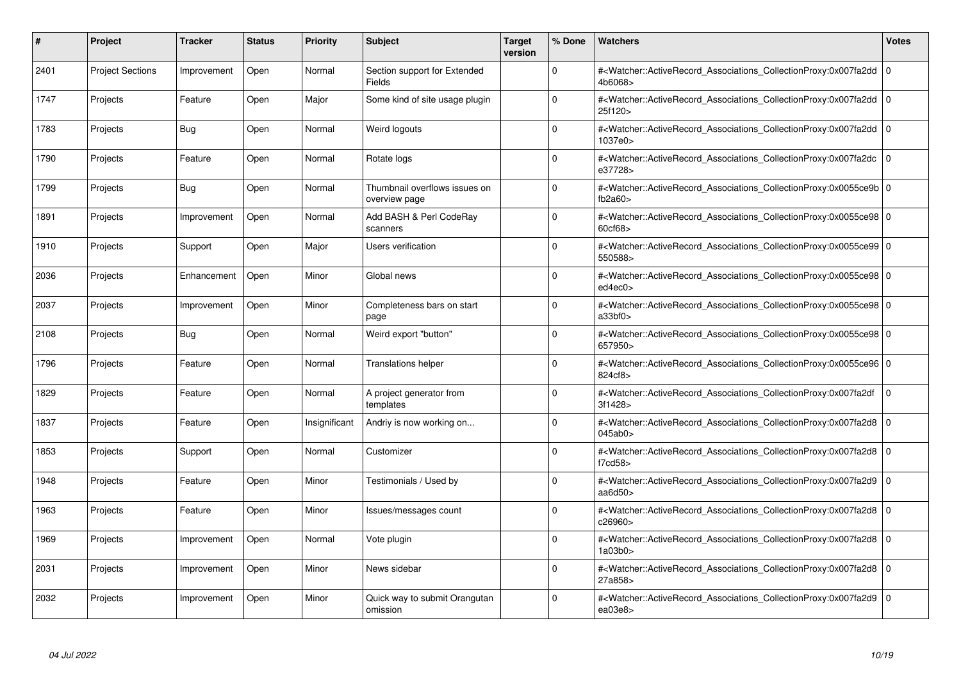| #    | <b>Project</b>          | <b>Tracker</b> | <b>Status</b> | <b>Priority</b> | <b>Subject</b>                                 | <b>Target</b><br>version | % Done   | <b>Watchers</b>                                                                                                                                                   | <b>Votes</b> |
|------|-------------------------|----------------|---------------|-----------------|------------------------------------------------|--------------------------|----------|-------------------------------------------------------------------------------------------------------------------------------------------------------------------|--------------|
| 2401 | <b>Project Sections</b> | Improvement    | Open          | Normal          | Section support for Extended<br><b>Fields</b>  |                          | $\Omega$ | # <watcher::activerecord_associations_collectionproxy:0x007fa2dd  <br="">4b6068&gt;</watcher::activerecord_associations_collectionproxy:0x007fa2dd>               | $\mathbf 0$  |
| 1747 | Projects                | Feature        | Open          | Major           | Some kind of site usage plugin                 |                          | $\Omega$ | # <watcher::activerecord 0<br="" associations="" collectionproxy:0x007fa2dd=""  ="">25f120&gt;</watcher::activerecord>                                            |              |
| 1783 | Projects                | Bug            | Open          | Normal          | Weird logouts                                  |                          | $\Omega$ | # <watcher::activerecord_associations_collectionproxy:0x007fa2dd<br>1037e0&gt;</watcher::activerecord_associations_collectionproxy:0x007fa2dd<br>                 | $\mathbf 0$  |
| 1790 | Projects                | Feature        | Open          | Normal          | Rotate logs                                    |                          | $\Omega$ | # <watcher::activerecord_associations_collectionproxy:0x007fa2dc 0<br=""  ="">e37728&gt;</watcher::activerecord_associations_collectionproxy:0x007fa2dc>          |              |
| 1799 | Projects                | Bug            | Open          | Normal          | Thumbnail overflows issues on<br>overview page |                          | $\Omega$ | # <watcher::activerecord 0<br="" associations="" collectionproxy:0x0055ce9b=""  ="">fb<math>2a60</math></watcher::activerecord>                                   |              |
| 1891 | Projects                | Improvement    | Open          | Normal          | Add BASH & Perl CodeRay<br>scanners            |                          | $\Omega$ | # <watcher::activerecord 0<br="" associations="" collectionproxy:0x0055ce98=""  =""><math>60c</math><math>68</math></watcher::activerecord>                       |              |
| 1910 | Projects                | Support        | Open          | Major           | <b>Users verification</b>                      |                          | $\Omega$ | # <watcher::activerecord_associations_collectionproxy:0x0055ce99 0<br=""  ="">550588&gt;</watcher::activerecord_associations_collectionproxy:0x0055ce99>          |              |
| 2036 | Projects                | Enhancement    | Open          | Minor           | Global news                                    |                          | $\Omega$ | # <watcher::activerecord_associations_collectionproxy:0x0055ce98 0<br=""  ="">ed4ec0&gt;</watcher::activerecord_associations_collectionproxy:0x0055ce98>          |              |
| 2037 | Projects                | Improvement    | Open          | Minor           | Completeness bars on start<br>page             |                          | $\Omega$ | # <watcher::activerecord 0<br="" associations="" collectionproxy:0x0055ce98=""  ="">a33b f0</watcher::activerecord>                                               |              |
| 2108 | Projects                | Bug            | Open          | Normal          | Weird export "button"                          |                          | $\Omega$ | # <watcher::activerecord 0<br="" associations="" collectionproxy:0x0055ce98=""  ="">657950&gt;</watcher::activerecord>                                            |              |
| 1796 | Projects                | Feature        | Open          | Normal          | Translations helper                            |                          | $\Omega$ | # <watcher::activerecord_associations_collectionproxy:0x0055ce96 0<br=""  ="">824cf8&gt;</watcher::activerecord_associations_collectionproxy:0x0055ce96>          |              |
| 1829 | Projects                | Feature        | Open          | Normal          | A project generator from<br>templates          |                          | $\Omega$ | # <watcher::activerecord_associations_collectionproxy:0x007fa2df<br>3f1428&gt;</watcher::activerecord_associations_collectionproxy:0x007fa2df<br>                 | $\mathbf 0$  |
| 1837 | Projects                | Feature        | Open          | Insignificant   | Andriy is now working on                       |                          | $\Omega$ | # <watcher::activerecord 0<br="" associations="" collectionproxy:0x007fa2d8=""  ="">045ab0&gt;</watcher::activerecord>                                            |              |
| 1853 | Projects                | Support        | Open          | Normal          | Customizer                                     |                          | $\Omega$ | # <watcher::activerecord_associations_collectionproxy:0x007fa2d8<br>f7cd58&gt;</watcher::activerecord_associations_collectionproxy:0x007fa2d8<br>                 | $\mathbf 0$  |
| 1948 | Projects                | Feature        | Open          | Minor           | Testimonials / Used by                         |                          | $\Omega$ | # <watcher::activerecord_associations_collectionproxy:0x007fa2d9 0<br=""  ="">aa<math>6d50</math></watcher::activerecord_associations_collectionproxy:0x007fa2d9> |              |
| 1963 | Projects                | Feature        | Open          | Minor           | Issues/messages count                          |                          | $\Omega$ | # <watcher::activerecord associations="" collectionproxy:0x007fa2d8<br="">c26960&gt;</watcher::activerecord>                                                      | $\mathbf 0$  |
| 1969 | Projects                | Improvement    | Open          | Normal          | Vote plugin                                    |                          | $\Omega$ | # <watcher::activerecord 0<br="" associations="" collectionproxy:0x007fa2d8=""  ="">1a03b0</watcher::activerecord>                                                |              |
| 2031 | Projects                | Improvement    | Open          | Minor           | News sidebar                                   |                          | $\Omega$ | # <watcher::activerecord_associations_collectionproxy:0x007fa2d8<br>27a858&gt;</watcher::activerecord_associations_collectionproxy:0x007fa2d8<br>                 | $\mathbf 0$  |
| 2032 | Projects                | Improvement    | Open          | Minor           | Quick way to submit Orangutan<br>omission      |                          | $\Omega$ | # <watcher::activerecord_associations_collectionproxy:0x007fa2d9 0<br=""  ="">ea03e8&gt;</watcher::activerecord_associations_collectionproxy:0x007fa2d9>          |              |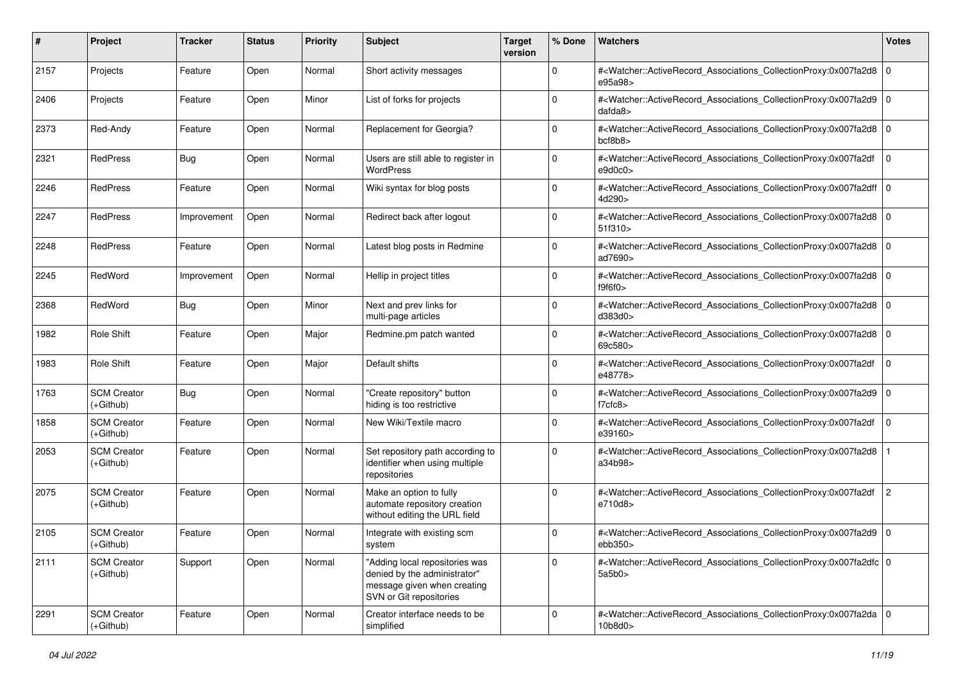| #    | Project                           | Tracker     | <b>Status</b> | <b>Priority</b> | <b>Subject</b>                                                                                                           | <b>Target</b><br>version | % Done      | Watchers                                                                                                                                                                       | <b>Votes</b>   |
|------|-----------------------------------|-------------|---------------|-----------------|--------------------------------------------------------------------------------------------------------------------------|--------------------------|-------------|--------------------------------------------------------------------------------------------------------------------------------------------------------------------------------|----------------|
| 2157 | Projects                          | Feature     | Open          | Normal          | Short activity messages                                                                                                  |                          | $\mathbf 0$ | # <watcher::activerecord_associations_collectionproxy:0x007fa2d8 0<br="">e95a98&gt;</watcher::activerecord_associations_collectionproxy:0x007fa2d8>                            |                |
| 2406 | Projects                          | Feature     | Open          | Minor           | List of forks for projects                                                                                               |                          | $\Omega$    | # <watcher::activerecord_associations_collectionproxy:0x007fa2d9 0<br=""  =""><math>d</math>afda<math>8</math></watcher::activerecord_associations_collectionproxy:0x007fa2d9> |                |
| 2373 | Red-Andy                          | Feature     | Open          | Normal          | Replacement for Georgia?                                                                                                 |                          | $\Omega$    | # <watcher::activerecord_associations_collectionproxy:0x007fa2d8 0<br=""  ="">bcf8b8</watcher::activerecord_associations_collectionproxy:0x007fa2d8>                           |                |
| 2321 | RedPress                          | Bug         | Open          | Normal          | Users are still able to register in<br><b>WordPress</b>                                                                  |                          | $\mathbf 0$ | # <watcher::activerecord_associations_collectionproxy:0x007fa2df<br>e9d0c0</watcher::activerecord_associations_collectionproxy:0x007fa2df<br>                                  | $\mathbf 0$    |
| 2246 | RedPress                          | Feature     | Open          | Normal          | Wiki syntax for blog posts                                                                                               |                          | $\Omega$    | # <watcher::activerecord_associations_collectionproxy:0x007fa2dff 0<br=""  ="">4d290&gt;</watcher::activerecord_associations_collectionproxy:0x007fa2dff>                      |                |
| 2247 | RedPress                          | Improvement | Open          | Normal          | Redirect back after logout                                                                                               |                          | $\Omega$    | # <watcher::activerecord_associations_collectionproxy:0x007fa2d8 0<br="">51f310 &gt;</watcher::activerecord_associations_collectionproxy:0x007fa2d8>                           |                |
| 2248 | RedPress                          | Feature     | Open          | Normal          | Latest blog posts in Redmine                                                                                             |                          | $\Omega$    | # <watcher::activerecord_associations_collectionproxy:0x007fa2d8 0<br=""  ="">ad7690&gt;</watcher::activerecord_associations_collectionproxy:0x007fa2d8>                       |                |
| 2245 | RedWord                           | Improvement | Open          | Normal          | Hellip in project titles                                                                                                 |                          | 0           | # <watcher::activerecord_associations_collectionproxy:0x007fa2d8 0<br=""  ="">f9f6f0</watcher::activerecord_associations_collectionproxy:0x007fa2d8>                           |                |
| 2368 | RedWord                           | <b>Bug</b>  | Open          | Minor           | Next and prev links for<br>multi-page articles                                                                           |                          | $\Omega$    | # <watcher::activerecord_associations_collectionproxy:0x007fa2d8 0<br="">d383d0</watcher::activerecord_associations_collectionproxy:0x007fa2d8>                                |                |
| 1982 | Role Shift                        | Feature     | Open          | Major           | Redmine.pm patch wanted                                                                                                  |                          | $\Omega$    | # <watcher::activerecord_associations_collectionproxy:0x007fa2d8 0<br=""  ="">69c580&gt;</watcher::activerecord_associations_collectionproxy:0x007fa2d8>                       |                |
| 1983 | Role Shift                        | Feature     | Open          | Major           | Default shifts                                                                                                           |                          | $\Omega$    | # <watcher::activerecord_associations_collectionproxy:0x007fa2df<br>e48778&gt;</watcher::activerecord_associations_collectionproxy:0x007fa2df<br>                              | $\mathbf 0$    |
| 1763 | <b>SCM Creator</b><br>$(+Github)$ | Bug         | Open          | Normal          | "Create repository" button<br>hiding is too restrictive                                                                  |                          | $\Omega$    | # <watcher::activerecord_associations_collectionproxy:0x007fa2d9 0<br=""  ="">f7cfc8</watcher::activerecord_associations_collectionproxy:0x007fa2d9>                           |                |
| 1858 | <b>SCM Creator</b><br>$(+Github)$ | Feature     | Open          | Normal          | New Wiki/Textile macro                                                                                                   |                          | $\Omega$    | # <watcher::activerecord_associations_collectionproxy:0x007fa2df<br>e39160&gt;</watcher::activerecord_associations_collectionproxy:0x007fa2df<br>                              | $\mathbf 0$    |
| 2053 | <b>SCM Creator</b><br>$(+Github)$ | Feature     | Open          | Normal          | Set repository path according to<br>identifier when using multiple<br>repositories                                       |                          | $\Omega$    | # <watcher::activerecord_associations_collectionproxy:0x007fa2d8<br>a34b98&gt;</watcher::activerecord_associations_collectionproxy:0x007fa2d8<br>                              |                |
| 2075 | <b>SCM Creator</b><br>$(+Github)$ | Feature     | Open          | Normal          | Make an option to fully<br>automate repository creation<br>without editing the URL field                                 |                          | $\Omega$    | # <watcher::activerecord_associations_collectionproxy:0x007fa2df<br>e710d8&gt;</watcher::activerecord_associations_collectionproxy:0x007fa2df<br>                              | $\overline{c}$ |
| 2105 | <b>SCM Creator</b><br>(+Github)   | Feature     | Open          | Normal          | Integrate with existing scm<br>system                                                                                    |                          | $\Omega$    | # <watcher::activerecord_associations_collectionproxy:0x007fa2d9 0<br=""  ="">ebb350&gt;</watcher::activerecord_associations_collectionproxy:0x007fa2d9>                       |                |
| 2111 | <b>SCM Creator</b><br>(+Github)   | Support     | Open          | Normal          | "Adding local repositories was<br>denied by the administrator"<br>message given when creating<br>SVN or Git repositories |                          | $\mathbf 0$ | # <watcher::activerecord 0<br="" associations="" collectionproxy:0x007fa2dfc="">5a5b0&gt;</watcher::activerecord>                                                              |                |
| 2291 | <b>SCM Creator</b><br>(+Github)   | Feature     | Open          | Normal          | Creator interface needs to be<br>simplified                                                                              |                          | $\Omega$    | # <watcher::activerecord 0<br="" associations="" collectionproxy:0x007fa2da="">10b8d0</watcher::activerecord>                                                                  |                |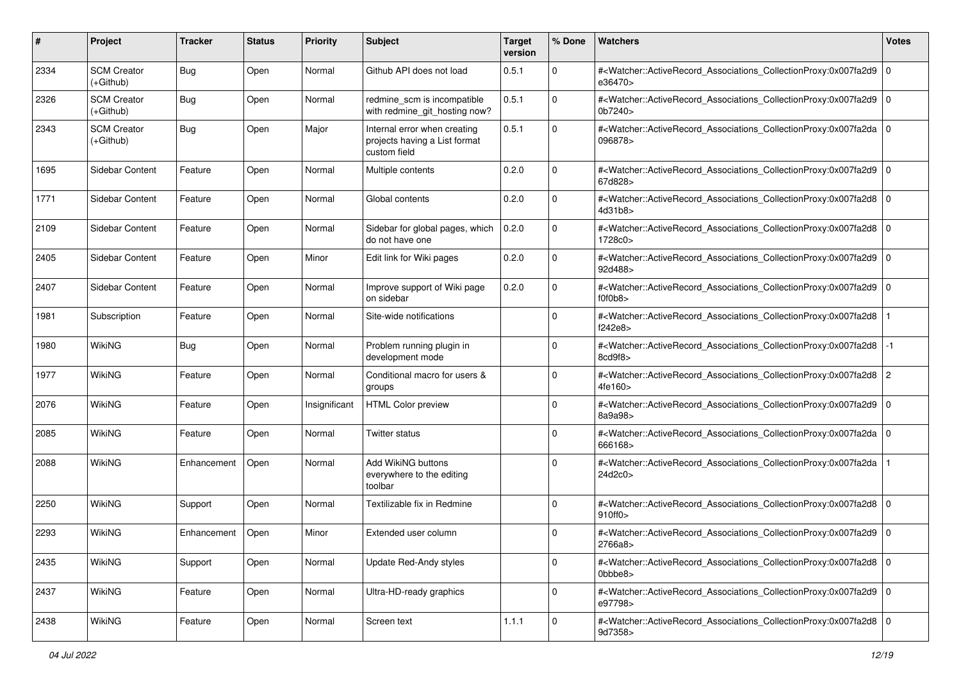| #    | Project                         | <b>Tracker</b> | <b>Status</b> | <b>Priority</b> | <b>Subject</b>                                                                | <b>Target</b><br>version | % Done      | <b>Watchers</b>                                                                                                                                          | <b>Votes</b> |
|------|---------------------------------|----------------|---------------|-----------------|-------------------------------------------------------------------------------|--------------------------|-------------|----------------------------------------------------------------------------------------------------------------------------------------------------------|--------------|
| 2334 | <b>SCM Creator</b><br>(+Github) | Bug            | Open          | Normal          | Github API does not load                                                      | 0.5.1                    | $\mathbf 0$ | # <watcher::activerecord associations="" collectionproxy:0x007fa2d9<br="">e36470&gt;</watcher::activerecord>                                             | l O          |
| 2326 | <b>SCM Creator</b><br>(+Github) | <b>Bug</b>     | Open          | Normal          | redmine_scm is incompatible<br>with redmine git hosting now?                  | 0.5.1                    | $\mathbf 0$ | # <watcher::activerecord_associations_collectionproxy:0x007fa2d9 0<br=""  ="">0b7240&gt;</watcher::activerecord_associations_collectionproxy:0x007fa2d9> |              |
| 2343 | <b>SCM Creator</b><br>(+Github) | Bug            | Open          | Major           | Internal error when creating<br>projects having a List format<br>custom field | 0.5.1                    | $\Omega$    | # <watcher::activerecord_associations_collectionproxy:0x007fa2da 0<br=""  ="">096878&gt;</watcher::activerecord_associations_collectionproxy:0x007fa2da> |              |
| 1695 | Sidebar Content                 | Feature        | Open          | Normal          | Multiple contents                                                             | 0.2.0                    | 0           | # <watcher::activerecord_associations_collectionproxy:0x007fa2d9 0<br=""  ="">67d828&gt;</watcher::activerecord_associations_collectionproxy:0x007fa2d9> |              |
| 1771 | Sidebar Content                 | Feature        | Open          | Normal          | Global contents                                                               | 0.2.0                    | $\mathbf 0$ | # <watcher::activerecord_associations_collectionproxy:0x007fa2d8 0<br=""  ="">4d31b8&gt;</watcher::activerecord_associations_collectionproxy:0x007fa2d8> |              |
| 2109 | Sidebar Content                 | Feature        | Open          | Normal          | Sidebar for global pages, which<br>do not have one                            | 0.2.0                    | $\mathbf 0$ | # <watcher::activerecord_associations_collectionproxy:0x007fa2d8 0<br="">1728c0&gt;</watcher::activerecord_associations_collectionproxy:0x007fa2d8>      |              |
| 2405 | Sidebar Content                 | Feature        | Open          | Minor           | Edit link for Wiki pages                                                      | 0.2.0                    | $\mathbf 0$ | # <watcher::activerecord_associations_collectionproxy:0x007fa2d9 0<br="">92d488&gt;</watcher::activerecord_associations_collectionproxy:0x007fa2d9>      |              |
| 2407 | Sidebar Content                 | Feature        | Open          | Normal          | Improve support of Wiki page<br>on sidebar                                    | 0.2.0                    | $\mathbf 0$ | # <watcher::activerecord_associations_collectionproxy:0x007fa2d9 0<br="">f0f0b8&gt;</watcher::activerecord_associations_collectionproxy:0x007fa2d9>      |              |
| 1981 | Subscription                    | Feature        | Open          | Normal          | Site-wide notifications                                                       |                          | $\Omega$    | # <watcher::activerecord_associations_collectionproxy:0x007fa2d8<br>f242e8&gt;</watcher::activerecord_associations_collectionproxy:0x007fa2d8<br>        |              |
| 1980 | WikiNG                          | <b>Bug</b>     | Open          | Normal          | Problem running plugin in<br>development mode                                 |                          | $\Omega$    | # <watcher::activerecord_associations_collectionproxy:0x007fa2d8<br>8cd9f8&gt;</watcher::activerecord_associations_collectionproxy:0x007fa2d8<br>        | $-1$         |
| 1977 | <b>WikiNG</b>                   | Feature        | Open          | Normal          | Conditional macro for users &<br>groups                                       |                          | $\Omega$    | # <watcher::activerecord_associations_collectionproxy:0x007fa2d8<br>4fe160&gt;</watcher::activerecord_associations_collectionproxy:0x007fa2d8<br>        | 2            |
| 2076 | <b>WikiNG</b>                   | Feature        | Open          | Insignificant   | <b>HTML Color preview</b>                                                     |                          | $\Omega$    | # <watcher::activerecord_associations_collectionproxy:0x007fa2d9 0<br="">8a9a98&gt;</watcher::activerecord_associations_collectionproxy:0x007fa2d9>      |              |
| 2085 | <b>WikiNG</b>                   | Feature        | Open          | Normal          | Twitter status                                                                |                          | 0           | # <watcher::activerecord_associations_collectionproxy:0x007fa2da 0<br=""  ="">666168&gt;</watcher::activerecord_associations_collectionproxy:0x007fa2da> |              |
| 2088 | <b>WikiNG</b>                   | Enhancement    | Open          | Normal          | Add WikiNG buttons<br>everywhere to the editing<br>toolbar                    |                          | $\Omega$    | # <watcher::activerecord_associations_collectionproxy:0x007fa2da<br>24d2c0&gt;</watcher::activerecord_associations_collectionproxy:0x007fa2da<br>        |              |
| 2250 | <b>WikiNG</b>                   | Support        | Open          | Normal          | Textilizable fix in Redmine                                                   |                          | $\Omega$    | # <watcher::activerecord_associations_collectionproxy:0x007fa2d8 0<br=""  ="">910ff0&gt;</watcher::activerecord_associations_collectionproxy:0x007fa2d8> |              |
| 2293 | <b>WikiNG</b>                   | Enhancement    | Open          | Minor           | Extended user column                                                          |                          | 0           | # <watcher::activerecord_associations_collectionproxy:0x007fa2d9 0<br="">2766a8&gt;</watcher::activerecord_associations_collectionproxy:0x007fa2d9>      |              |
| 2435 | <b>WikiNG</b>                   | Support        | Open          | Normal          | <b>Update Red-Andy styles</b>                                                 |                          | 0           | # <watcher::activerecord 0<br="" associations="" collectionproxy:0x007fa2d8="">Obbbe8&gt;</watcher::activerecord>                                        |              |
| 2437 | <b>WikiNG</b>                   | Feature        | Open          | Normal          | Ultra-HD-ready graphics                                                       |                          | $\mathbf 0$ | # <watcher::activerecord_associations_collectionproxy:0x007fa2d9 0<br="">e97798&gt;</watcher::activerecord_associations_collectionproxy:0x007fa2d9>      |              |
| 2438 | WikiNG                          | Feature        | Open          | Normal          | Screen text                                                                   | 1.1.1                    | 0           | # <watcher::activerecord 0<br="" associations="" collectionproxy:0x007fa2d8="">9d7358&gt;</watcher::activerecord>                                        |              |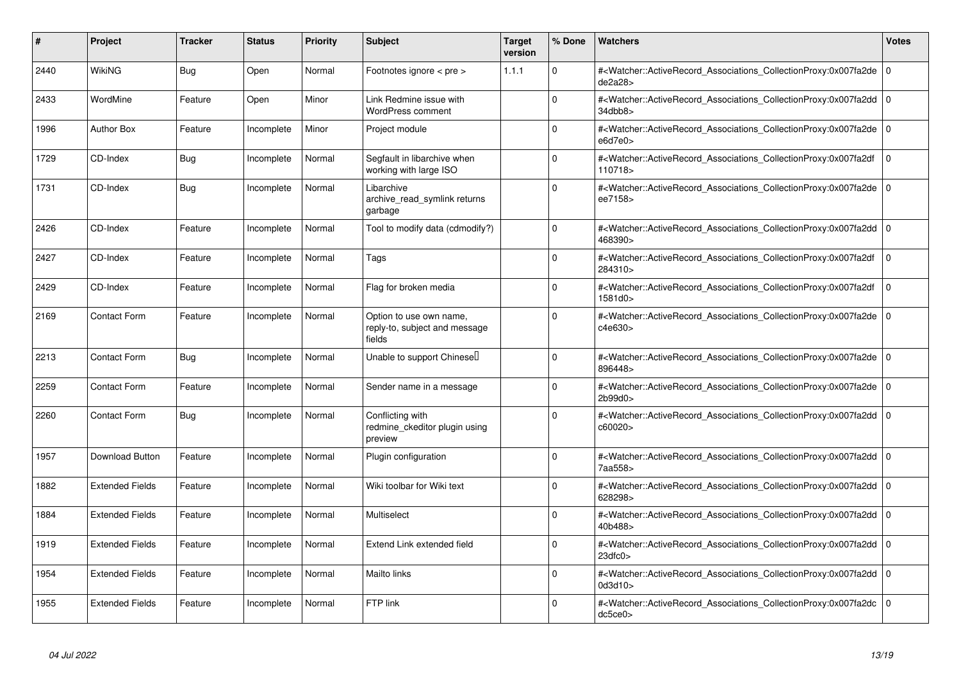| #    | Project                | <b>Tracker</b> | <b>Status</b> | <b>Priority</b> | <b>Subject</b>                                                     | <b>Target</b><br>version | % Done      | <b>Watchers</b>                                                                                                                                              | <b>Votes</b> |
|------|------------------------|----------------|---------------|-----------------|--------------------------------------------------------------------|--------------------------|-------------|--------------------------------------------------------------------------------------------------------------------------------------------------------------|--------------|
| 2440 | <b>WikiNG</b>          | Bug            | Open          | Normal          | Footnotes ignore $\lt$ pre $\gt$                                   | 1.1.1                    | $\Omega$    | # <watcher::activerecord associations="" collectionproxy:0x007fa2de<br="">de2a28&gt;</watcher::activerecord>                                                 | 0            |
| 2433 | WordMine               | Feature        | Open          | Minor           | Link Redmine issue with<br><b>WordPress comment</b>                |                          | $\Omega$    | # <watcher::activerecord_associations_collectionproxy:0x007fa2dd 0<br="">34dbb8</watcher::activerecord_associations_collectionproxy:0x007fa2dd>              |              |
| 1996 | <b>Author Box</b>      | Feature        | Incomplete    | Minor           | Project module                                                     |                          | $\Omega$    | # <watcher::activerecord 0<br="" associations="" collectionproxy:0x007fa2de=""  ="">e6d7e0</watcher::activerecord>                                           |              |
| 1729 | CD-Index               | <b>Bug</b>     | Incomplete    | Normal          | Segfault in libarchive when<br>working with large ISO              |                          | $\Omega$    | # <watcher::activerecord_associations_collectionproxy:0x007fa2df<br>110718&gt;</watcher::activerecord_associations_collectionproxy:0x007fa2df<br>            | $\Omega$     |
| 1731 | CD-Index               | <b>Bug</b>     | Incomplete    | Normal          | Libarchive<br>archive read symlink returns<br>garbage              |                          | $\Omega$    | # <watcher::activerecord_associations_collectionproxy:0x007fa2de<br>ee7158&gt;</watcher::activerecord_associations_collectionproxy:0x007fa2de<br>            | ۱٥           |
| 2426 | CD-Index               | Feature        | Incomplete    | Normal          | Tool to modify data (cdmodify?)                                    |                          | $\Omega$    | # <watcher::activerecord associations="" collectionproxy:0x007fa2dd<br="">468390&gt;</watcher::activerecord>                                                 | l O          |
| 2427 | CD-Index               | Feature        | Incomplete    | Normal          | Tags                                                               |                          | $\Omega$    | # <watcher::activerecord associations="" collectionproxy:0x007fa2df<br="">284310&gt;</watcher::activerecord>                                                 | $\Omega$     |
| 2429 | CD-Index               | Feature        | Incomplete    | Normal          | Flag for broken media                                              |                          | $\Omega$    | # <watcher::activerecord_associations_collectionproxy:0x007fa2df<br>1581d0&gt;</watcher::activerecord_associations_collectionproxy:0x007fa2df<br>            | $\Omega$     |
| 2169 | <b>Contact Form</b>    | Feature        | Incomplete    | Normal          | Option to use own name,<br>reply-to, subject and message<br>fields |                          | $\Omega$    | # <watcher::activerecord_associations_collectionproxy:0x007fa2de 0<br="">c4e630&gt;</watcher::activerecord_associations_collectionproxy:0x007fa2de>          |              |
| 2213 | <b>Contact Form</b>    | <b>Bug</b>     | Incomplete    | Normal          | Unable to support Chinesel                                         |                          | $\Omega$    | # <watcher::activerecord 0<br="" associations="" collectionproxy:0x007fa2de=""  ="">896448&gt;</watcher::activerecord>                                       |              |
| 2259 | Contact Form           | Feature        | Incomplete    | Normal          | Sender name in a message                                           |                          | $\Omega$    | # <watcher::activerecord associations="" collectionproxy:0x007fa2de<br="">2b99d0&gt;</watcher::activerecord>                                                 | l o          |
| 2260 | <b>Contact Form</b>    | <b>Bug</b>     | Incomplete    | Normal          | Conflicting with<br>redmine ckeditor plugin using<br>preview       |                          | $\Omega$    | # <watcher::activerecord 0<br="" associations="" collectionproxy:0x007fa2dd=""  ="">c60020&gt;</watcher::activerecord>                                       |              |
| 1957 | Download Button        | Feature        | Incomplete    | Normal          | Plugin configuration                                               |                          | $\mathbf 0$ | # <watcher::activerecord_associations_collectionproxy:0x007fa2dd 0<br=""  ="">7aa558&gt;</watcher::activerecord_associations_collectionproxy:0x007fa2dd>     |              |
| 1882 | <b>Extended Fields</b> | Feature        | Incomplete    | Normal          | Wiki toolbar for Wiki text                                         |                          | $\Omega$    | # <watcher::activerecord associations="" collectionproxy:0x007fa2dd<br="">628298&gt;</watcher::activerecord>                                                 | 10           |
| 1884 | <b>Extended Fields</b> | Feature        | Incomplete    | Normal          | Multiselect                                                        |                          | $\Omega$    | # <watcher::activerecord 0<br="" associations="" collectionproxy:0x007fa2dd=""  ="">40b488&gt;</watcher::activerecord>                                       |              |
| 1919 | <b>Extended Fields</b> | Feature        | Incomplete    | Normal          | Extend Link extended field                                         |                          | $\Omega$    | # <watcher::activerecord_associations_collectionproxy:0x007fa2dd<br>23dfc0<sub>&gt;</sub></watcher::activerecord_associations_collectionproxy:0x007fa2dd<br> | I٥           |
| 1954 | <b>Extended Fields</b> | Feature        | Incomplete    | Normal          | <b>Mailto links</b>                                                |                          | $\Omega$    | # <watcher::activerecord_associations_collectionproxy:0x007fa2dd<br>0d3d10&gt;</watcher::activerecord_associations_collectionproxy:0x007fa2dd<br>            | l O          |
| 1955 | <b>Extended Fields</b> | Feature        | Incomplete    | Normal          | FTP link                                                           |                          | $\Omega$    | # <watcher::activerecord_associations_collectionproxy:0x007fa2dc<br>dc5ce0&gt;</watcher::activerecord_associations_collectionproxy:0x007fa2dc<br>            | ۱o           |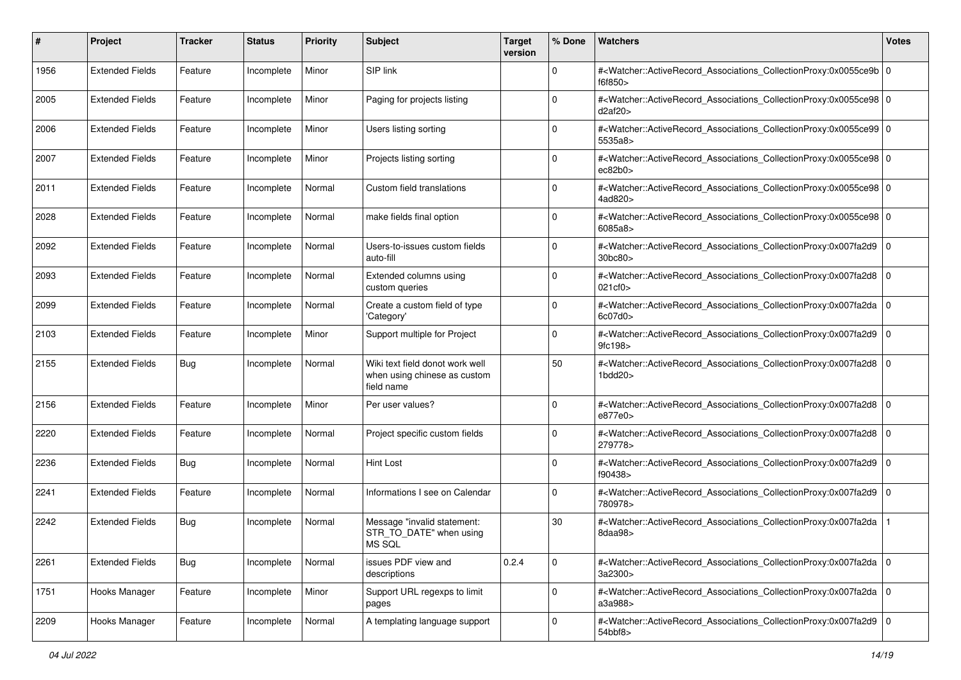| #    | Project                | <b>Tracker</b> | <b>Status</b> | <b>Priority</b> | <b>Subject</b>                                                                | <b>Target</b><br>version | % Done      | Watchers                                                                                                                                                 | <b>Votes</b> |
|------|------------------------|----------------|---------------|-----------------|-------------------------------------------------------------------------------|--------------------------|-------------|----------------------------------------------------------------------------------------------------------------------------------------------------------|--------------|
| 1956 | <b>Extended Fields</b> | Feature        | Incomplete    | Minor           | SIP link                                                                      |                          | 0           | # <watcher::activerecord_associations_collectionproxy:0x0055ce9b 0<br="">f6f850&gt;</watcher::activerecord_associations_collectionproxy:0x0055ce9b>      |              |
| 2005 | <b>Extended Fields</b> | Feature        | Incomplete    | Minor           | Paging for projects listing                                                   |                          | 0           | # <watcher::activerecord_associations_collectionproxy:0x0055ce98 0<br="">d2af20</watcher::activerecord_associations_collectionproxy:0x0055ce98>          |              |
| 2006 | Extended Fields        | Feature        | Incomplete    | Minor           | Users listing sorting                                                         |                          | 0           | # <watcher::activerecord_associations_collectionproxy:0x0055ce99 0<br=""  ="">5535a8&gt;</watcher::activerecord_associations_collectionproxy:0x0055ce99> |              |
| 2007 | <b>Extended Fields</b> | Feature        | Incomplete    | Minor           | Projects listing sorting                                                      |                          | 0           | # <watcher::activerecord_associations_collectionproxy:0x0055ce98 0<br=""  ="">ec82b0</watcher::activerecord_associations_collectionproxy:0x0055ce98>     |              |
| 2011 | <b>Extended Fields</b> | Feature        | Incomplete    | Normal          | Custom field translations                                                     |                          | 0           | # <watcher::activerecord_associations_collectionproxy:0x0055ce98 0<br="">4ad820&gt;</watcher::activerecord_associations_collectionproxy:0x0055ce98>      |              |
| 2028 | <b>Extended Fields</b> | Feature        | Incomplete    | Normal          | make fields final option                                                      |                          | 0           | # <watcher::activerecord_associations_collectionproxy:0x0055ce98 0<br="">6085a8&gt;</watcher::activerecord_associations_collectionproxy:0x0055ce98>      |              |
| 2092 | <b>Extended Fields</b> | Feature        | Incomplete    | Normal          | Users-to-issues custom fields<br>auto-fill                                    |                          | $\mathbf 0$ | # <watcher::activerecord_associations_collectionproxy:0x007fa2d9 0<br="">30bc80&gt;</watcher::activerecord_associations_collectionproxy:0x007fa2d9>      |              |
| 2093 | <b>Extended Fields</b> | Feature        | Incomplete    | Normal          | Extended columns using<br>custom queries                                      |                          | 0           | # <watcher::activerecord_associations_collectionproxy:0x007fa2d8 0<br="">021cf0</watcher::activerecord_associations_collectionproxy:0x007fa2d8>          |              |
| 2099 | <b>Extended Fields</b> | Feature        | Incomplete    | Normal          | Create a custom field of type<br>'Category'                                   |                          | $\mathbf 0$ | # <watcher::activerecord_associations_collectionproxy:0x007fa2da 0<br=""  ="">6c07d0&gt;</watcher::activerecord_associations_collectionproxy:0x007fa2da> |              |
| 2103 | Extended Fields        | Feature        | Incomplete    | Minor           | Support multiple for Project                                                  |                          | 0           | # <watcher::activerecord_associations_collectionproxy:0x007fa2d9 0<br="">9fc198&gt;</watcher::activerecord_associations_collectionproxy:0x007fa2d9>      |              |
| 2155 | <b>Extended Fields</b> | <b>Bug</b>     | Incomplete    | Normal          | Wiki text field donot work well<br>when using chinese as custom<br>field name |                          | 50          | # <watcher::activerecord_associations_collectionproxy:0x007fa2d8 0<br="">1bdd20&gt;</watcher::activerecord_associations_collectionproxy:0x007fa2d8>      |              |
| 2156 | <b>Extended Fields</b> | Feature        | Incomplete    | Minor           | Per user values?                                                              |                          | 0           | # <watcher::activerecord_associations_collectionproxy:0x007fa2d8 0<br="">e877e0&gt;</watcher::activerecord_associations_collectionproxy:0x007fa2d8>      |              |
| 2220 | <b>Extended Fields</b> | Feature        | Incomplete    | Normal          | Project specific custom fields                                                |                          | 0           | # <watcher::activerecord_associations_collectionproxy:0x007fa2d8 0<br=""  ="">279778&gt;</watcher::activerecord_associations_collectionproxy:0x007fa2d8> |              |
| 2236 | <b>Extended Fields</b> | <b>Bug</b>     | Incomplete    | Normal          | <b>Hint Lost</b>                                                              |                          | 0           | # <watcher::activerecord_associations_collectionproxy:0x007fa2d9 0<br="">f90438&gt;</watcher::activerecord_associations_collectionproxy:0x007fa2d9>      |              |
| 2241 | <b>Extended Fields</b> | Feature        | Incomplete    | Normal          | Informations I see on Calendar                                                |                          | 0           | # <watcher::activerecord_associations_collectionproxy:0x007fa2d9 0<br=""  ="">780978&gt;</watcher::activerecord_associations_collectionproxy:0x007fa2d9> |              |
| 2242 | <b>Extended Fields</b> | <b>Bug</b>     | Incomplete    | Normal          | Message "invalid statement:<br>STR_TO_DATE" when using<br>MS SQL              |                          | 30          | # <watcher::activerecord_associations_collectionproxy:0x007fa2da<br>8daa98&gt;</watcher::activerecord_associations_collectionproxy:0x007fa2da<br>        |              |
| 2261 | <b>Extended Fields</b> | <b>Bug</b>     | Incomplete    | Normal          | issues PDF view and<br>descriptions                                           | 0.2.4                    | 0           | # <watcher::activerecord_associations_collectionproxy:0x007fa2da 0<br=""  ="">3a2300&gt;</watcher::activerecord_associations_collectionproxy:0x007fa2da> |              |
| 1751 | Hooks Manager          | Feature        | Incomplete    | Minor           | Support URL regexps to limit<br>pages                                         |                          | $\mathbf 0$ | # <watcher::activerecord_associations_collectionproxy:0x007fa2da 0<br="">a3a988&gt;</watcher::activerecord_associations_collectionproxy:0x007fa2da>      |              |
| 2209 | Hooks Manager          | Feature        | Incomplete    | Normal          | A templating language support                                                 |                          | 0           | # <watcher::activerecord_associations_collectionproxy:0x007fa2d9 0<br=""  ="">54bbf8&gt;</watcher::activerecord_associations_collectionproxy:0x007fa2d9> |              |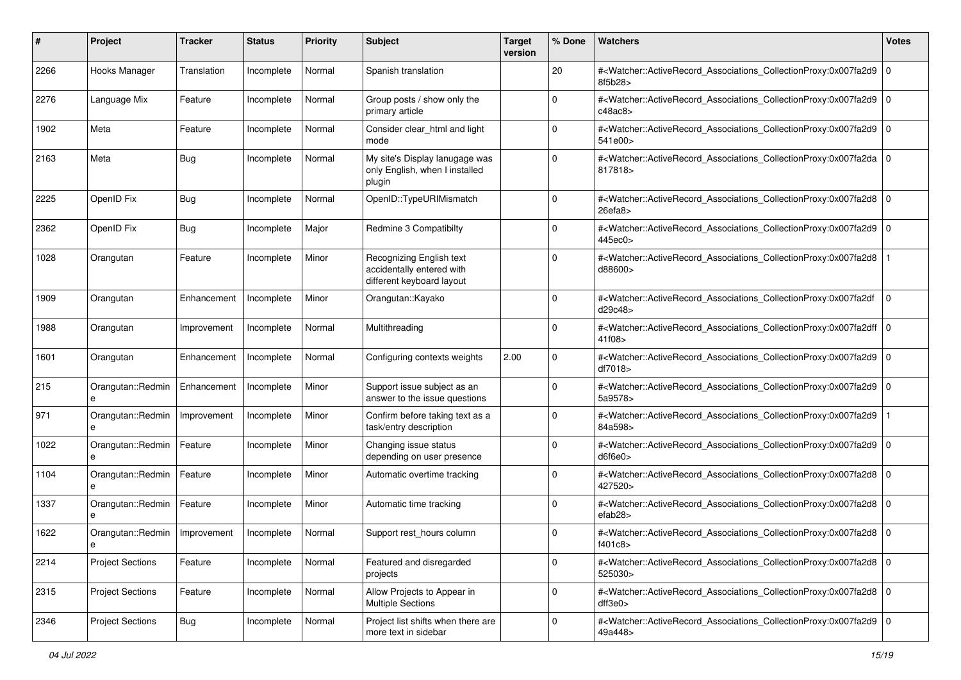| #    | Project                 | <b>Tracker</b> | <b>Status</b> | <b>Priority</b> | <b>Subject</b>                                                                     | <b>Target</b><br>version | % Done      | Watchers                                                                                                                                                  | <b>Votes</b> |
|------|-------------------------|----------------|---------------|-----------------|------------------------------------------------------------------------------------|--------------------------|-------------|-----------------------------------------------------------------------------------------------------------------------------------------------------------|--------------|
| 2266 | Hooks Manager           | Translation    | Incomplete    | Normal          | Spanish translation                                                                |                          | 20          | # <watcher::activerecord_associations_collectionproxy:0x007fa2d9 0<br="">8f5b28&gt;</watcher::activerecord_associations_collectionproxy:0x007fa2d9>       |              |
| 2276 | Language Mix            | Feature        | Incomplete    | Normal          | Group posts / show only the<br>primary article                                     |                          | 0           | # <watcher::activerecord_associations_collectionproxy:0x007fa2d9 0<br="">c48ac8&gt;</watcher::activerecord_associations_collectionproxy:0x007fa2d9>       |              |
| 1902 | Meta                    | Feature        | Incomplete    | Normal          | Consider clear_html and light<br>mode                                              |                          | 0           | # <watcher::activerecord_associations_collectionproxy:0x007fa2d9 0<br="">541e00&gt;</watcher::activerecord_associations_collectionproxy:0x007fa2d9>       |              |
| 2163 | Meta                    | Bug            | Incomplete    | Normal          | My site's Display lanugage was<br>only English, when I installed<br>plugin         |                          | $\Omega$    | # <watcher::activerecord_associations_collectionproxy:0x007fa2da 0<br=""  ="">817818&gt;</watcher::activerecord_associations_collectionproxy:0x007fa2da>  |              |
| 2225 | OpenID Fix              | Bug            | Incomplete    | Normal          | OpenID::TypeURIMismatch                                                            |                          | $\Omega$    | # <watcher::activerecord_associations_collectionproxy:0x007fa2d8 0<br="">26efa8&gt;</watcher::activerecord_associations_collectionproxy:0x007fa2d8>       |              |
| 2362 | OpenID Fix              | Bug            | Incomplete    | Major           | Redmine 3 Compatibilty                                                             |                          | $\Omega$    | # <watcher::activerecord_associations_collectionproxy:0x007fa2d9 0<br=""  ="">445ec0&gt;</watcher::activerecord_associations_collectionproxy:0x007fa2d9>  |              |
| 1028 | Orangutan               | Feature        | Incomplete    | Minor           | Recognizing English text<br>accidentally entered with<br>different keyboard layout |                          | $\Omega$    | # <watcher::activerecord_associations_collectionproxy:0x007fa2d8<br>d88600&gt;</watcher::activerecord_associations_collectionproxy:0x007fa2d8<br>         |              |
| 1909 | Orangutan               | Enhancement    | Incomplete    | Minor           | Orangutan::Kayako                                                                  |                          | 0           | # <watcher::activerecord_associations_collectionproxy:0x007fa2df<br>d29c48&gt;</watcher::activerecord_associations_collectionproxy:0x007fa2df<br>         | $\mathbf 0$  |
| 1988 | Orangutan               | Improvement    | Incomplete    | Normal          | Multithreading                                                                     |                          | $\Omega$    | # <watcher::activerecord_associations_collectionproxy:0x007fa2dff 0<br=""  ="">41f08&gt;</watcher::activerecord_associations_collectionproxy:0x007fa2dff> |              |
| 1601 | Orangutan               | Enhancement    | Incomplete    | Normal          | Configuring contexts weights                                                       | 2.00                     | 0           | # <watcher::activerecord_associations_collectionproxy:0x007fa2d9 0<br="">df7018&gt;</watcher::activerecord_associations_collectionproxy:0x007fa2d9>       |              |
| 215  | Orangutan::Redmin<br>e  | Enhancement    | Incomplete    | Minor           | Support issue subject as an<br>answer to the issue questions                       |                          | $\Omega$    | # <watcher::activerecord_associations_collectionproxy:0x007fa2d9 0<br=""  ="">5a9578&gt;</watcher::activerecord_associations_collectionproxy:0x007fa2d9>  |              |
| 971  | Orangutan::Redmin<br>e  | Improvement    | Incomplete    | Minor           | Confirm before taking text as a<br>task/entry description                          |                          | $\Omega$    | # <watcher::activerecord_associations_collectionproxy:0x007fa2d9<br>84a598&gt;</watcher::activerecord_associations_collectionproxy:0x007fa2d9<br>         |              |
| 1022 | Orangutan::Redmin<br>e  | Feature        | Incomplete    | Minor           | Changing issue status<br>depending on user presence                                |                          | 0           | # <watcher::activerecord_associations_collectionproxy:0x007fa2d9 0<br="">d6f6e0</watcher::activerecord_associations_collectionproxy:0x007fa2d9>           |              |
| 1104 | Orangutan::Redmin<br>e  | Feature        | Incomplete    | Minor           | Automatic overtime tracking                                                        |                          | $\mathbf 0$ | # <watcher::activerecord_associations_collectionproxy:0x007fa2d8 0<br="">427520&gt;</watcher::activerecord_associations_collectionproxy:0x007fa2d8>       |              |
| 1337 | Orangutan::Redmin       | Feature        | Incomplete    | Minor           | Automatic time tracking                                                            |                          | $\Omega$    | # <watcher::activerecord_associations_collectionproxy:0x007fa2d8 0<br="">efab28&gt;</watcher::activerecord_associations_collectionproxy:0x007fa2d8>       |              |
| 1622 | Orangutan::Redmin<br>е  | Improvement    | Incomplete    | Normal          | Support rest_hours column                                                          |                          | 0           | # <watcher::activerecord_associations_collectionproxy:0x007fa2d8 0<br=""  ="">f401c8&gt;</watcher::activerecord_associations_collectionproxy:0x007fa2d8>  |              |
| 2214 | <b>Project Sections</b> | Feature        | Incomplete    | Normal          | Featured and disregarded<br>projects                                               |                          | $\mathbf 0$ | # <watcher::activerecord 0<br="" associations="" collectionproxy:0x007fa2d8="">525030&gt;</watcher::activerecord>                                         |              |
| 2315 | <b>Project Sections</b> | Feature        | Incomplete    | Normal          | Allow Projects to Appear in<br><b>Multiple Sections</b>                            |                          | $\mathbf 0$ | # <watcher::activerecord_associations_collectionproxy:0x007fa2d8 0<br="">dff3e0</watcher::activerecord_associations_collectionproxy:0x007fa2d8>           |              |
| 2346 | <b>Project Sections</b> | <b>Bug</b>     | Incomplete    | Normal          | Project list shifts when there are<br>more text in sidebar                         |                          | 0           | # <watcher::activerecord 0<br="" associations="" collectionproxy:0x007fa2d9="">49a448&gt;</watcher::activerecord>                                         |              |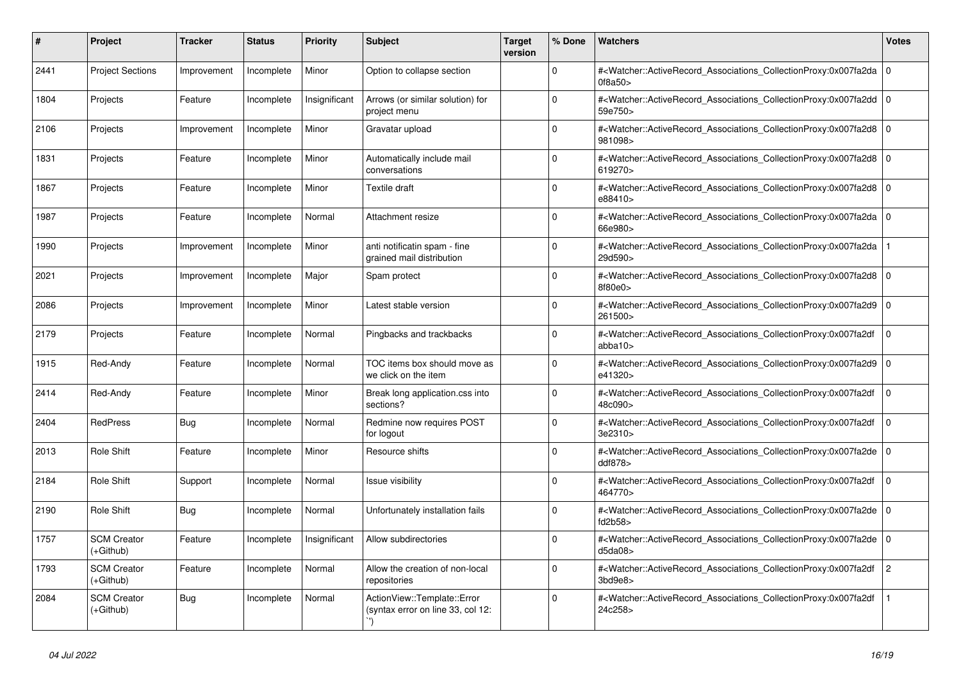| #    | <b>Project</b>                  | <b>Tracker</b> | <b>Status</b> | <b>Priority</b> | <b>Subject</b>                                                   | <b>Target</b><br>version | % Done   | <b>Watchers</b>                                                                                                                                          | <b>Votes</b>   |
|------|---------------------------------|----------------|---------------|-----------------|------------------------------------------------------------------|--------------------------|----------|----------------------------------------------------------------------------------------------------------------------------------------------------------|----------------|
| 2441 | <b>Project Sections</b>         | Improvement    | Incomplete    | Minor           | Option to collapse section                                       |                          | $\Omega$ | # <watcher::activerecord_associations_collectionproxy:0x007fa2da  <br="">0f8a50&gt;</watcher::activerecord_associations_collectionproxy:0x007fa2da>      | $\mathbf 0$    |
| 1804 | Projects                        | Feature        | Incomplete    | Insignificant   | Arrows (or similar solution) for<br>project menu                 |                          | $\Omega$ | # <watcher::activerecord_associations_collectionproxy:0x007fa2dd 0<br=""  ="">59e750&gt;</watcher::activerecord_associations_collectionproxy:0x007fa2dd> |                |
| 2106 | Projects                        | Improvement    | Incomplete    | Minor           | Gravatar upload                                                  |                          | $\Omega$ | # <watcher::activerecord_associations_collectionproxy:0x007fa2d8 0<br="">981098&gt;</watcher::activerecord_associations_collectionproxy:0x007fa2d8>      |                |
| 1831 | Projects                        | Feature        | Incomplete    | Minor           | Automatically include mail<br>conversations                      |                          | $\Omega$ | # <watcher::activerecord_associations_collectionproxy:0x007fa2d8  <br="">619270&gt;</watcher::activerecord_associations_collectionproxy:0x007fa2d8>      | $\mathbf 0$    |
| 1867 | Projects                        | Feature        | Incomplete    | Minor           | Textile draft                                                    |                          | $\Omega$ | # <watcher::activerecord_associations_collectionproxy:0x007fa2d8  <br="">e88410&gt;</watcher::activerecord_associations_collectionproxy:0x007fa2d8>      | $\Omega$       |
| 1987 | Projects                        | Feature        | Incomplete    | Normal          | Attachment resize                                                |                          | $\Omega$ | # <watcher::activerecord 0<br="" associations="" collectionproxy:0x007fa2da=""  ="">66e980&gt;</watcher::activerecord>                                   |                |
| 1990 | Projects                        | Improvement    | Incomplete    | Minor           | anti notificatin spam - fine<br>grained mail distribution        |                          | $\Omega$ | # <watcher::activerecord_associations_collectionproxy:0x007fa2da<br>29d590&gt;</watcher::activerecord_associations_collectionproxy:0x007fa2da<br>        |                |
| 2021 | Projects                        | Improvement    | Incomplete    | Major           | Spam protect                                                     |                          | $\Omega$ | # <watcher::activerecord_associations_collectionproxy:0x007fa2d8 0<br=""  ="">8f80e0&gt;</watcher::activerecord_associations_collectionproxy:0x007fa2d8> |                |
| 2086 | Projects                        | Improvement    | Incomplete    | Minor           | Latest stable version                                            |                          | $\Omega$ | # <watcher::activerecord 0<br="" associations="" collectionproxy:0x007fa2d9=""  ="">261500&gt;</watcher::activerecord>                                   |                |
| 2179 | Projects                        | Feature        | Incomplete    | Normal          | Pingbacks and trackbacks                                         |                          | $\Omega$ | # <watcher::activerecord associations="" collectionproxy:0x007fa2df<br="">abba10</watcher::activerecord>                                                 | $\mathbf 0$    |
| 1915 | Red-Andy                        | Feature        | Incomplete    | Normal          | TOC items box should move as<br>we click on the item             |                          | $\Omega$ | # <watcher::activerecord_associations_collectionproxy:0x007fa2d9<br>e41320&gt;</watcher::activerecord_associations_collectionproxy:0x007fa2d9<br>        | $\mathbf 0$    |
| 2414 | Red-Andy                        | Feature        | Incomplete    | Minor           | Break long application.css into<br>sections?                     |                          | $\Omega$ | # <watcher::activerecord associations="" collectionproxy:0x007fa2df<br="">48c090&gt;</watcher::activerecord>                                             | $\Omega$       |
| 2404 | <b>RedPress</b>                 | <b>Bug</b>     | Incomplete    | Normal          | Redmine now requires POST<br>for logout                          |                          | $\Omega$ | # <watcher::activerecord_associations_collectionproxy:0x007fa2df<br>3e2310&gt;</watcher::activerecord_associations_collectionproxy:0x007fa2df<br>        | $\Omega$       |
| 2013 | <b>Role Shift</b>               | Feature        | Incomplete    | Minor           | Resource shifts                                                  |                          | $\Omega$ | # <watcher::activerecord_associations_collectionproxy:0x007fa2de 0<br=""  ="">ddf878&gt;</watcher::activerecord_associations_collectionproxy:0x007fa2de> |                |
| 2184 | Role Shift                      | Support        | Incomplete    | Normal          | Issue visibility                                                 |                          | $\Omega$ | # <watcher::activerecord associations="" collectionproxy:0x007fa2df<br="">464770&gt;</watcher::activerecord>                                             | $\Omega$       |
| 2190 | Role Shift                      | <b>Bug</b>     | Incomplete    | Normal          | Unfortunately installation fails                                 |                          | $\Omega$ | # <watcher::activerecord_associations_collectionproxy:0x007fa2de 0<br=""  ="">fd2b58</watcher::activerecord_associations_collectionproxy:0x007fa2de>     |                |
| 1757 | <b>SCM Creator</b><br>(+Github) | Feature        | Incomplete    | Insignificant   | Allow subdirectories                                             |                          | $\Omega$ | # <watcher::activerecord_associations_collectionproxy:0x007fa2de 0<br=""  ="">d5da08</watcher::activerecord_associations_collectionproxy:0x007fa2de>     |                |
| 1793 | <b>SCM Creator</b><br>(+Github) | Feature        | Incomplete    | Normal          | Allow the creation of non-local<br>repositories                  |                          | $\Omega$ | # <watcher::activerecord_associations_collectionproxy:0x007fa2df<br>3bd9e8</watcher::activerecord_associations_collectionproxy:0x007fa2df<br>            | $\overline{c}$ |
| 2084 | <b>SCM Creator</b><br>(+Github) | Bug            | Incomplete    | Normal          | ActionView::Template::Error<br>(syntax error on line 33, col 12: |                          | $\Omega$ | # <watcher::activerecord associations="" collectionproxy:0x007fa2df<br="">24c258&gt;</watcher::activerecord>                                             |                |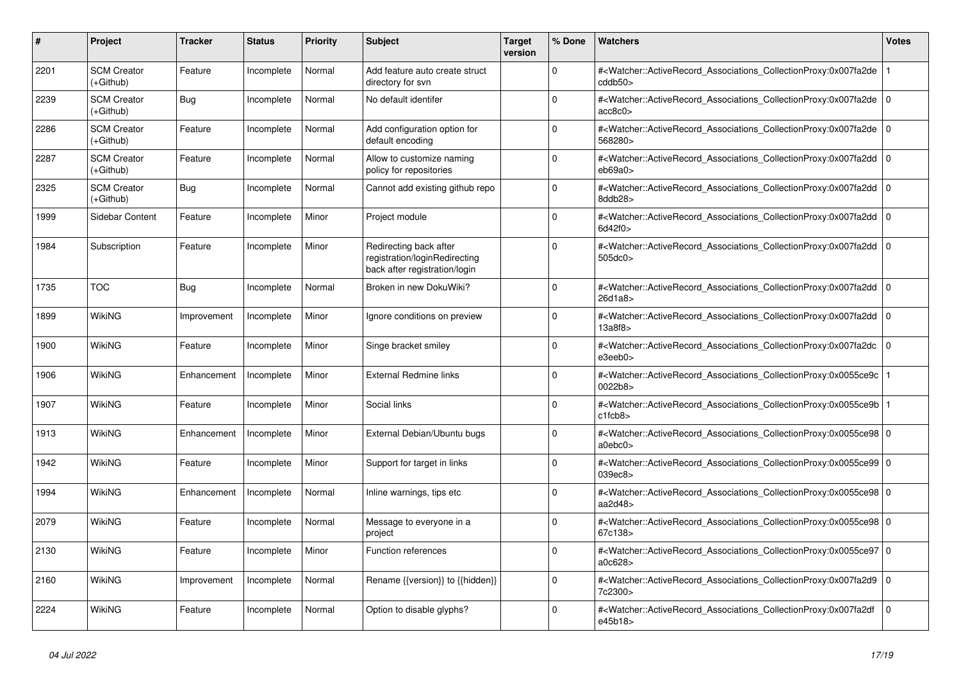| #    | <b>Project</b>                  | <b>Tracker</b> | <b>Status</b> | <b>Priority</b> | <b>Subject</b>                                                                           | <b>Target</b><br>version | % Done      | <b>Watchers</b>                                                                                                                                                                | <b>Votes</b> |
|------|---------------------------------|----------------|---------------|-----------------|------------------------------------------------------------------------------------------|--------------------------|-------------|--------------------------------------------------------------------------------------------------------------------------------------------------------------------------------|--------------|
| 2201 | <b>SCM Creator</b><br>(+Github) | Feature        | Incomplete    | Normal          | Add feature auto create struct<br>directory for svn                                      |                          | $\Omega$    | # <watcher::activerecord_associations_collectionproxy:0x007fa2de<br>cddb50&gt;</watcher::activerecord_associations_collectionproxy:0x007fa2de<br>                              |              |
| 2239 | <b>SCM Creator</b><br>(+Github) | Bug            | Incomplete    | Normal          | No default identifer                                                                     |                          | $\Omega$    | # <watcher::activerecord_associations_collectionproxy:0x007fa2de 0<br="">acc8c0</watcher::activerecord_associations_collectionproxy:0x007fa2de>                                |              |
| 2286 | <b>SCM Creator</b><br>(+Github) | Feature        | Incomplete    | Normal          | Add configuration option for<br>default encoding                                         |                          | $\mathbf 0$ | # <watcher::activerecord_associations_collectionproxy:0x007fa2de 0<br=""  ="">568280&gt;</watcher::activerecord_associations_collectionproxy:0x007fa2de>                       |              |
| 2287 | <b>SCM Creator</b><br>(+Github) | Feature        | Incomplete    | Normal          | Allow to customize naming<br>policy for repositories                                     |                          | $\Omega$    | # <watcher::activerecord_associations_collectionproxy:0x007fa2dd<br>eb69a0&gt;</watcher::activerecord_associations_collectionproxy:0x007fa2dd<br>                              | l o          |
| 2325 | <b>SCM Creator</b><br>(+Github) | <b>Bug</b>     | Incomplete    | Normal          | Cannot add existing github repo                                                          |                          | $\mathbf 0$ | # <watcher::activerecord_associations_collectionproxy:0x007fa2dd 0<br=""  ="">8ddb28&gt;</watcher::activerecord_associations_collectionproxy:0x007fa2dd>                       |              |
| 1999 | Sidebar Content                 | Feature        | Incomplete    | Minor           | Project module                                                                           |                          | $\Omega$    | # <watcher::activerecord 0<br="" associations="" collectionproxy:0x007fa2dd=""  ="">6d42f0&gt;</watcher::activerecord>                                                         |              |
| 1984 | Subscription                    | Feature        | Incomplete    | Minor           | Redirecting back after<br>registration/loginRedirecting<br>back after registration/login |                          | $\Omega$    | # <watcher::activerecord associations="" collectionproxy:0x007fa2dd<br="">505dc0&gt;</watcher::activerecord>                                                                   | l O          |
| 1735 | <b>TOC</b>                      | <b>Bug</b>     | Incomplete    | Normal          | Broken in new DokuWiki?                                                                  |                          | $\Omega$    | # <watcher::activerecord_associations_collectionproxy:0x007fa2dd 0<br=""  ="">26d1a8&gt;</watcher::activerecord_associations_collectionproxy:0x007fa2dd>                       |              |
| 1899 | WikiNG                          | Improvement    | Incomplete    | Minor           | Ignore conditions on preview                                                             |                          | $\mathbf 0$ | # <watcher::activerecord_associations_collectionproxy:0x007fa2dd 0<br=""  ="">13a8f8&gt;</watcher::activerecord_associations_collectionproxy:0x007fa2dd>                       |              |
| 1900 | WikiNG                          | Feature        | Incomplete    | Minor           | Singe bracket smiley                                                                     |                          | $\Omega$    | # <watcher::activerecord_associations_collectionproxy:0x007fa2dc<br>e3eeb0&gt;</watcher::activerecord_associations_collectionproxy:0x007fa2dc<br>                              | $\Omega$     |
| 1906 | WikiNG                          | Enhancement    | Incomplete    | Minor           | External Redmine links                                                                   |                          | $\Omega$    | # <watcher::activerecord 1<br="" associations="" collectionproxy:0x0055ce9c=""  ="">0022b8&gt;</watcher::activerecord>                                                         |              |
| 1907 | <b>WikiNG</b>                   | Feature        | Incomplete    | Minor           | Social links                                                                             |                          | $\Omega$    | # <watcher::activerecord_associations_collectionproxy:0x0055ce9b 1<br=""  =""><math>c1</math>fcb<math>8</math></watcher::activerecord_associations_collectionproxy:0x0055ce9b> |              |
| 1913 | WikiNG                          | Enhancement    | Incomplete    | Minor           | External Debian/Ubuntu bugs                                                              |                          | $\Omega$    | # <watcher::activerecord_associations_collectionproxy:0x0055ce98 0<br=""  ="">a0ebc0</watcher::activerecord_associations_collectionproxy:0x0055ce98>                           |              |
| 1942 | WikiNG                          | Feature        | Incomplete    | Minor           | Support for target in links                                                              |                          | $\Omega$    | # <watcher::activerecord 0<br="" associations="" collectionproxy:0x0055ce99=""  ="">039ec8</watcher::activerecord>                                                             |              |
| 1994 | WikiNG                          | Enhancement    | Incomplete    | Normal          | Inline warnings, tips etc                                                                |                          | $\Omega$    | # <watcher::activerecord_associations_collectionproxy:0x0055ce98 0<br=""  ="">aa2d48&gt;</watcher::activerecord_associations_collectionproxy:0x0055ce98>                       |              |
| 2079 | <b>WikiNG</b>                   | Feature        | Incomplete    | Normal          | Message to everyone in a<br>project                                                      |                          | $\mathbf 0$ | # <watcher::activerecord_associations_collectionproxy:0x0055ce98 0<br=""  ="">67c138&gt;</watcher::activerecord_associations_collectionproxy:0x0055ce98>                       |              |
| 2130 | WikiNG                          | Feature        | Incomplete    | Minor           | <b>Function references</b>                                                               |                          | $\Omega$    | # <watcher::activerecord_associations_collectionproxy:0x0055ce97 0<br=""  ="">a0c628&gt;</watcher::activerecord_associations_collectionproxy:0x0055ce97>                       |              |
| 2160 | <b>WikiNG</b>                   | Improvement    | Incomplete    | Normal          | Rename {{version}} to {{hidden}}                                                         |                          | $\Omega$    | # <watcher::activerecord associations="" collectionproxy:0x007fa2d9<br="">7c2300&gt;</watcher::activerecord>                                                                   | l 0          |
| 2224 | WikiNG                          | Feature        | Incomplete    | Normal          | Option to disable glyphs?                                                                |                          | $\Omega$    | # <watcher::activerecord_associations_collectionproxy:0x007fa2df<br>e45b18&gt;</watcher::activerecord_associations_collectionproxy:0x007fa2df<br>                              | $\Omega$     |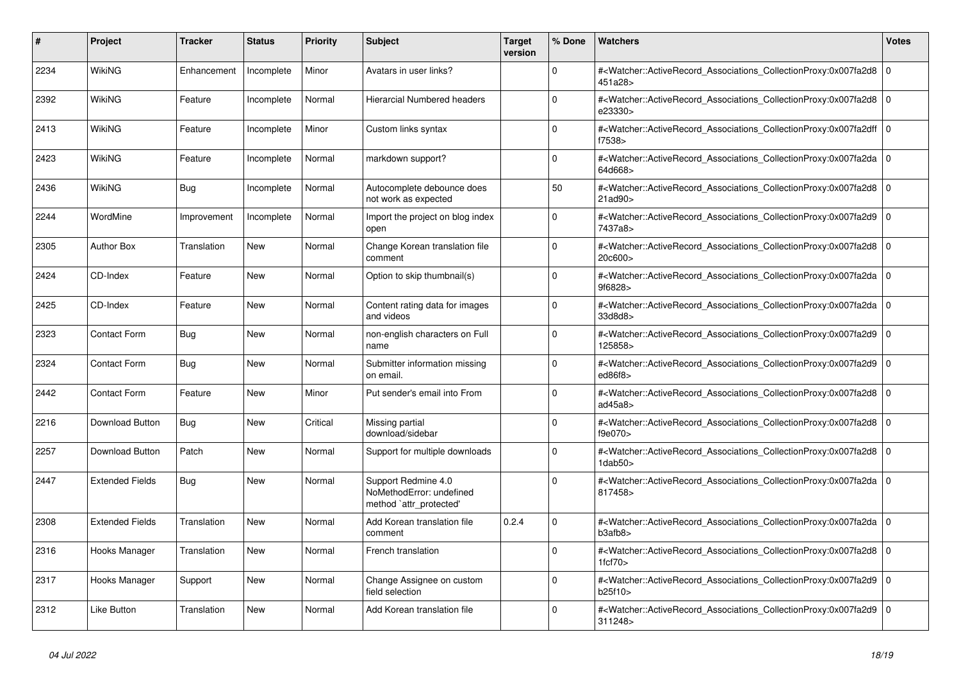| #    | <b>Project</b>         | <b>Tracker</b> | <b>Status</b> | <b>Priority</b> | <b>Subject</b>                                                             | <b>Target</b><br>version | % Done   | <b>Watchers</b>                                                                                                                                                                | <b>Votes</b> |
|------|------------------------|----------------|---------------|-----------------|----------------------------------------------------------------------------|--------------------------|----------|--------------------------------------------------------------------------------------------------------------------------------------------------------------------------------|--------------|
| 2234 | WikiNG                 | Enhancement    | Incomplete    | Minor           | Avatars in user links?                                                     |                          | $\Omega$ | # <watcher::activerecord_associations_collectionproxy:0x007fa2d8  <br="">451a28&gt;</watcher::activerecord_associations_collectionproxy:0x007fa2d8>                            | $\mathbf 0$  |
| 2392 | WikiNG                 | Feature        | Incomplete    | Normal          | <b>Hierarcial Numbered headers</b>                                         |                          | $\Omega$ | # <watcher::activerecord_associations_collectionproxy:0x007fa2d8  <br="">e23330&gt;</watcher::activerecord_associations_collectionproxy:0x007fa2d8>                            | $\Omega$     |
| 2413 | WikiNG                 | Feature        | Incomplete    | Minor           | Custom links syntax                                                        |                          | $\Omega$ | # <watcher::activerecord_associations_collectionproxy:0x007fa2dff 0<br=""  ="">f7538&gt;</watcher::activerecord_associations_collectionproxy:0x007fa2dff>                      |              |
| 2423 | <b>WikiNG</b>          | Feature        | Incomplete    | Normal          | markdown support?                                                          |                          | $\Omega$ | # <watcher::activerecord_associations_collectionproxy:0x007fa2da  <br="">64d668&gt;</watcher::activerecord_associations_collectionproxy:0x007fa2da>                            | $\Omega$     |
| 2436 | WikiNG                 | <b>Bug</b>     | Incomplete    | Normal          | Autocomplete debounce does<br>not work as expected                         |                          | 50       | # <watcher::activerecord 0<br="" associations="" collectionproxy:0x007fa2d8=""  ="">21ad90&gt;</watcher::activerecord>                                                         |              |
| 2244 | WordMine               | Improvement    | Incomplete    | Normal          | Import the project on blog index<br>open                                   |                          | $\Omega$ | # <watcher::activerecord_associations_collectionproxy:0x007fa2d9 0<br=""  ="">7437a8&gt;</watcher::activerecord_associations_collectionproxy:0x007fa2d9>                       |              |
| 2305 | <b>Author Box</b>      | Translation    | <b>New</b>    | Normal          | Change Korean translation file<br>comment                                  |                          | $\Omega$ | # <watcher::activerecord_associations_collectionproxy:0x007fa2d8  <br="">20c600&gt;</watcher::activerecord_associations_collectionproxy:0x007fa2d8>                            | $\Omega$     |
| 2424 | CD-Index               | Feature        | New           | Normal          | Option to skip thumbnail(s)                                                |                          | $\Omega$ | # <watcher::activerecord 0<br="" associations="" collectionproxy:0x007fa2da=""  ="">9f6828&gt;</watcher::activerecord>                                                         |              |
| 2425 | CD-Index               | Feature        | <b>New</b>    | Normal          | Content rating data for images<br>and videos                               |                          | $\Omega$ | # <watcher::activerecord 0<br="" associations="" collectionproxy:0x007fa2da=""  ="">33d8d8&gt;</watcher::activerecord>                                                         |              |
| 2323 | <b>Contact Form</b>    | Bug            | New           | Normal          | non-english characters on Full<br>name                                     |                          | $\Omega$ | # <watcher::activerecord_associations_collectionproxy:0x007fa2d9 0<br=""  ="">125858&gt;</watcher::activerecord_associations_collectionproxy:0x007fa2d9>                       |              |
| 2324 | <b>Contact Form</b>    | <b>Bug</b>     | <b>New</b>    | Normal          | Submitter information missing<br>on email.                                 |                          | $\Omega$ | # <watcher::activerecord_associations_collectionproxy:0x007fa2d9  <br="">ed86f8</watcher::activerecord_associations_collectionproxy:0x007fa2d9>                                | $\mathbf 0$  |
| 2442 | <b>Contact Form</b>    | Feature        | <b>New</b>    | Minor           | Put sender's email into From                                               |                          | $\Omega$ | # <watcher::activerecord 0<br="" associations="" collectionproxy:0x007fa2d8=""  ="">ad45a8</watcher::activerecord>                                                             |              |
| 2216 | Download Button        | Bug            | New           | Critical        | Missing partial<br>download/sidebar                                        |                          | $\Omega$ | # <watcher::activerecord associations="" collectionproxy:0x007fa2d8<br="">f9e070&gt;</watcher::activerecord>                                                                   | $\mathbf 0$  |
| 2257 | Download Button        | Patch          | <b>New</b>    | Normal          | Support for multiple downloads                                             |                          | $\Omega$ | # <watcher::activerecord_associations_collectionproxy:0x007fa2d8 0<br=""  =""><math>1</math>dab<math>50</math></watcher::activerecord_associations_collectionproxy:0x007fa2d8> |              |
| 2447 | <b>Extended Fields</b> | <b>Bug</b>     | <b>New</b>    | Normal          | Support Redmine 4.0<br>NoMethodError: undefined<br>method `attr_protected' |                          | $\Omega$ | # <watcher::activerecord_associations_collectionproxy:0x007fa2da 0<br=""  ="">817458&gt;</watcher::activerecord_associations_collectionproxy:0x007fa2da>                       |              |
| 2308 | <b>Extended Fields</b> | Translation    | New           | Normal          | Add Korean translation file<br>comment                                     | 0.2.4                    | $\Omega$ | # <watcher::activerecord 0<br="" associations="" collectionproxy:0x007fa2da=""  ="">b3afb8</watcher::activerecord>                                                             |              |
| 2316 | Hooks Manager          | Translation    | New           | Normal          | French translation                                                         |                          | $\Omega$ | # <watcher::activerecord_associations_collectionproxy:0x007fa2d8 0<br=""  ="">1fcf70</watcher::activerecord_associations_collectionproxy:0x007fa2d8>                           |              |
| 2317 | Hooks Manager          | Support        | New           | Normal          | Change Assignee on custom<br>field selection                               |                          | $\Omega$ | # <watcher::activerecord_associations_collectionproxy:0x007fa2d9 0<br=""  ="">b25f10&gt;</watcher::activerecord_associations_collectionproxy:0x007fa2d9>                       |              |
| 2312 | Like Button            | Translation    | <b>New</b>    | Normal          | Add Korean translation file                                                |                          | $\Omega$ | # <watcher::activerecord associations="" collectionproxy:0x007fa2d9<br="">311248&gt;</watcher::activerecord>                                                                   | $\Omega$     |